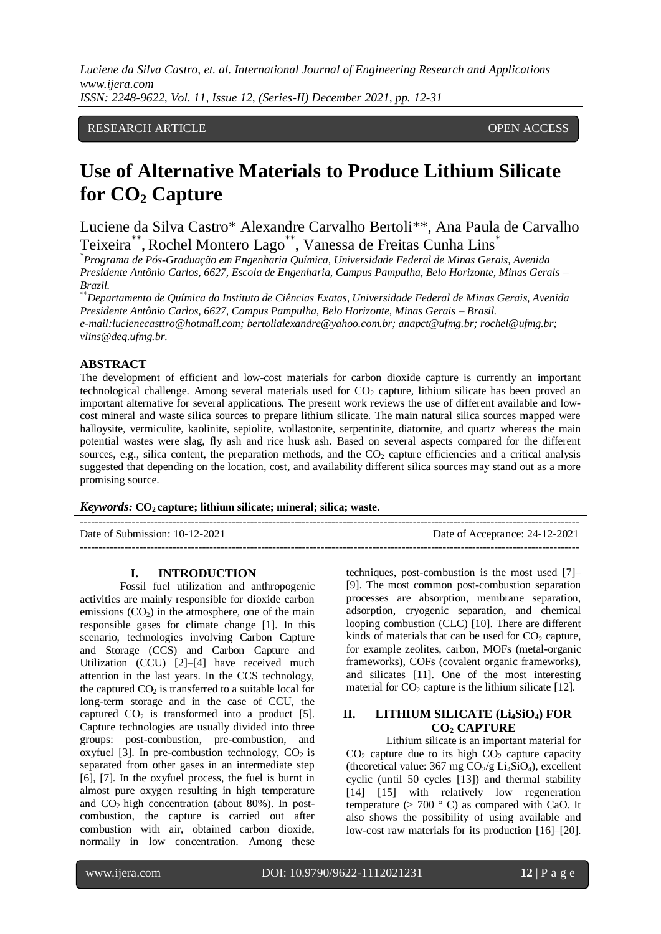# RESEARCH ARTICLE OPEN ACCESS

# **Use of Alternative Materials to Produce Lithium Silicate for CO<sup>2</sup> Capture**

Luciene da Silva Castro\* Alexandre Carvalho Bertoli\*\*, Ana Paula de Carvalho Teixeira\*\*, Rochel Montero Lago\*\*, Vanessa de Freitas Cunha Lins\*

*\*Programa de Pós-Graduação em Engenharia Química, Universidade Federal de Minas Gerais, Avenida Presidente Antônio Carlos, 6627, Escola de Engenharia, Campus Pampulha, Belo Horizonte, Minas Gerais – Brazil.*

*\*\*Departamento de Química do Instituto de Ciências Exatas, Universidade Federal de Minas Gerais, Avenida Presidente Antônio Carlos, 6627, Campus Pampulha, Belo Horizonte, Minas Gerais – Brasil. e-mail:lucienecasttro@hotmail.com; bertolialexandre@yahoo.com.br; anapct@ufmg.br; rochel@ufmg.br; vlins@deq.ufmg.br.*

# **ABSTRACT**

The development of efficient and low-cost materials for carbon dioxide capture is currently an important technological challenge. Among several materials used for  $CO<sub>2</sub>$  capture, lithium silicate has been proved an important alternative for several applications. The present work reviews the use of different available and lowcost mineral and waste silica sources to prepare lithium silicate. The main natural silica sources mapped were halloysite, vermiculite, kaolinite, sepiolite, wollastonite, serpentinite, diatomite, and quartz whereas the main potential wastes were slag, fly ash and rice husk ash. Based on several aspects compared for the different sources, e.g., silica content, the preparation methods, and the  $CO<sub>2</sub>$  capture efficiencies and a critical analysis suggested that depending on the location, cost, and availability different silica sources may stand out as a more promising source.

*Keywords:* **CO2 capture; lithium silicate; mineral; silica; waste.**

 $-1\leq i\leq n-1$ Date of Submission: 10-12-2021 Date of Acceptance: 24-12-2021 ---------------------------------------------------------------------------------------------------------------------------------------

#### **I. INTRODUCTION**

Fossil fuel utilization and anthropogenic activities are mainly responsible for dioxide carbon emissions  $(CO<sub>2</sub>)$  in the atmosphere, one of the main responsible gases for climate change [1]. In this scenario, technologies involving Carbon Capture and Storage (CCS) and Carbon Capture and Utilization (CCU) [2]–[4] have received much attention in the last years. In the CCS technology, the captured  $CO<sub>2</sub>$  is transferred to a suitable local for long-term storage and in the case of CCU, the captured  $CO<sub>2</sub>$  is transformed into a product [5]. Capture technologies are usually divided into three groups: post-combustion, pre-combustion, and oxyfuel [3]. In pre-combustion technology,  $CO<sub>2</sub>$  is separated from other gases in an intermediate step [6], [7]. In the oxyfuel process, the fuel is burnt in almost pure oxygen resulting in high temperature and  $CO<sub>2</sub>$  high concentration (about 80%). In postcombustion, the capture is carried out after combustion with air, obtained carbon dioxide, normally in low concentration. Among these techniques, post-combustion is the most used [7]– [9]. The most common post-combustion separation processes are absorption, membrane separation, adsorption, cryogenic separation, and chemical looping combustion (CLC) [10]. There are different kinds of materials that can be used for  $CO<sub>2</sub>$  capture, for example zeolites, carbon, MOFs (metal-organic frameworks), COFs (covalent organic frameworks), and silicates [11]. One of the most interesting material for  $CO<sub>2</sub>$  capture is the lithium silicate [12].

## **II. LITHIUM SILICATE (Li4SiO4) FOR CO<sup>2</sup> CAPTURE**

Lithium silicate is an important material for  $CO<sub>2</sub>$  capture due to its high  $CO<sub>2</sub>$  capture capacity (theoretical value:  $367 \text{ mg } CO_2/g \text{ Li}_4\text{SiO}_4$ ), excellent cyclic (until 50 cycles [13]) and thermal stability [14] [15] with relatively low regeneration temperature  $(> 700 \degree C)$  as compared with CaO. It also shows the possibility of using available and low-cost raw materials for its production [16]–[20].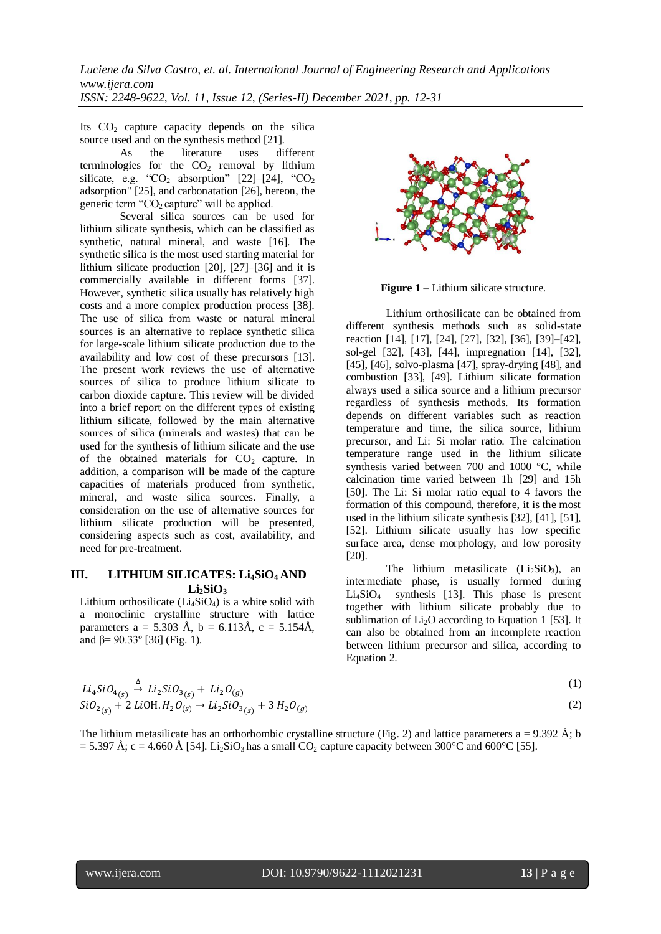Its  $CO<sub>2</sub>$  capture capacity depends on the silica source used and on the synthesis method [21].

As the literature uses different terminologies for the  $CO<sub>2</sub>$  removal by lithium silicate, e.g. " $CO<sub>2</sub>$  absorption" [22]–[24], " $CO<sub>2</sub>$ adsorption" [25], and carbonatation [26], hereon, the generic term " $CO<sub>2</sub>$  capture" will be applied.

Several silica sources can be used for lithium silicate synthesis, which can be classified as synthetic, natural mineral, and waste [16]. The synthetic silica is the most used starting material for lithium silicate production [20], [27]–[36] and it is commercially available in different forms [37]. However, synthetic silica usually has relatively high costs and a more complex production process [38]. The use of silica from waste or natural mineral sources is an alternative to replace synthetic silica for large-scale lithium silicate production due to the availability and low cost of these precursors [13]. The present work reviews the use of alternative sources of silica to produce lithium silicate to carbon dioxide capture. This review will be divided into a brief report on the different types of existing lithium silicate, followed by the main alternative sources of silica (minerals and wastes) that can be used for the synthesis of lithium silicate and the use of the obtained materials for  $CO<sub>2</sub>$  capture. In addition, a comparison will be made of the capture capacities of materials produced from synthetic, mineral, and waste silica sources. Finally, a consideration on the use of alternative sources for lithium silicate production will be presented, considering aspects such as cost, availability, and need for pre-treatment.

## **III. LITHIUM SILICATES: Li4SiO4 AND Li2SiO<sup>3</sup>**

Lithium orthosilicate  $(Li_4SiO_4)$  is a white solid with a monoclinic crystalline structure with lattice parameters a = 5.303 Å, b = 6.113Å, c = 5.154Å, and  $\beta$ = 90.33° [36] (Fig. 1).



**Figure 1** – Lithium silicate structure.

Lithium orthosilicate can be obtained from different synthesis methods such as solid-state reaction [14], [17], [24], [27], [32], [36], [39]–[42], sol-gel [32], [43], [44], impregnation [14], [32], [45], [46], solvo-plasma [47], spray-drying [48], and combustion [33], [49]. Lithium silicate formation always used a silica source and a lithium precursor regardless of synthesis methods. Its formation depends on different variables such as reaction temperature and time, the silica source, lithium precursor, and Li: Si molar ratio. The calcination temperature range used in the lithium silicate synthesis varied between 700 and 1000 °C, while calcination time varied between 1h [29] and 15h [50]. The Li: Si molar ratio equal to 4 favors the formation of this compound, therefore, it is the most used in the lithium silicate synthesis [32], [41], [51], [52]. Lithium silicate usually has low specific surface area, dense morphology, and low porosity [20].

The lithium metasilicate  $(Li<sub>2</sub>SiO<sub>3</sub>)$ , an intermediate phase, is usually formed during  $Li<sub>4</sub>SiO<sub>4</sub>$  synthesis [13]. This phase is present together with lithium silicate probably due to sublimation of  $Li<sub>2</sub>O$  according to Equation 1 [53]. It can also be obtained from an incomplete reaction between lithium precursor and silica, according to Equation 2.

$$
Li_4SiO_{4(s)} \stackrel{\Delta}{\rightarrow} Li_2SiO_{3(s)} + Li_2O_{(g)}
$$
  
\n
$$
SiO_{2(s)} + 2 LiOH.H_2O_{(s)} \rightarrow Li_2SiO_{3(s)} + 3 H_2O_{(g)}
$$
\n(1)

The lithium metasilicate has an orthorhombic crystalline structure (Fig. 2) and lattice parameters a = 9.392 Å; b  $= 5.397 \text{ Å}; c = 4.660 \text{ Å}$  [54]. Li<sub>2</sub>SiO<sub>3</sub> has a small CO<sub>2</sub> capture capacity between 300°C and 600°C [55].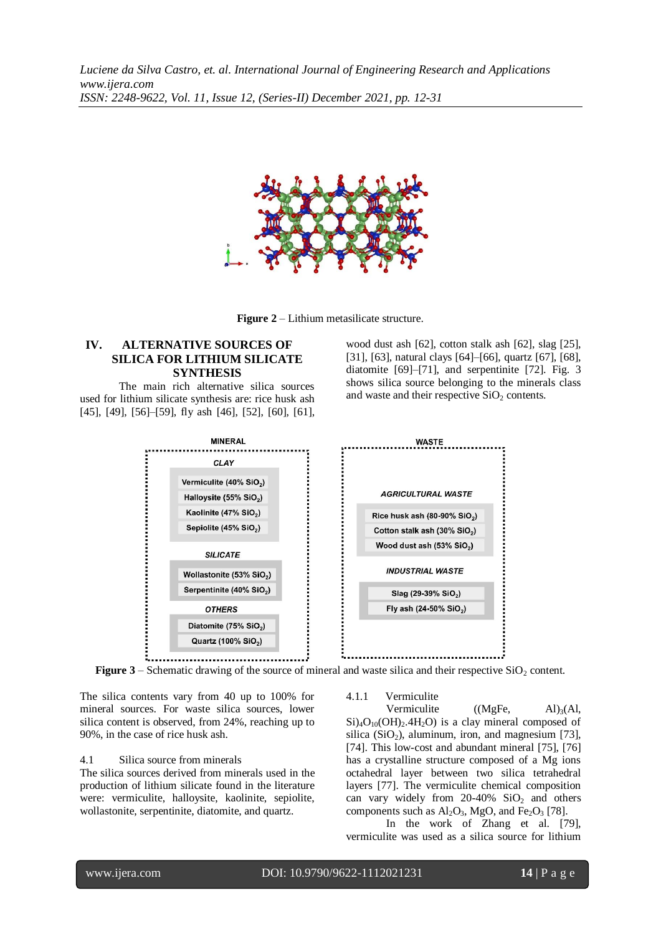

**Figure 2** – Lithium metasilicate structure.

## **IV. ALTERNATIVE SOURCES OF SILICA FOR LITHIUM SILICATE SYNTHESIS**

The main rich alternative silica sources used for lithium silicate synthesis are: rice husk ash [45], [49], [56]–[59], fly ash [46], [52], [60], [61], wood dust ash [62], cotton stalk ash [62], slag [25], [31], [63], natural clays [64]–[66], quartz [67], [68], diatomite [69]–[71], and serpentinite [72]. Fig. 3 shows silica source belonging to the minerals class and waste and their respective  $SiO<sub>2</sub>$  contents.



**Figure 3** – Schematic drawing of the source of mineral and waste silica and their respective SiO<sub>2</sub> content.

The silica contents vary from 40 up to 100% for mineral sources. For waste silica sources, lower silica content is observed, from 24%, reaching up to 90%, in the case of rice husk ash.

## 4.1 Silica source from minerals

The silica sources derived from minerals used in the production of lithium silicate found in the literature were: vermiculite, halloysite, kaolinite, sepiolite, wollastonite, serpentinite, diatomite, and quartz.

#### 4.1.1 Vermiculite

Vermiculite  $((MgFe, Al)<sub>3</sub>(Al,$  $Si)_{4}O_{10}(OH)_{2}.4H_{2}O$  is a clay mineral composed of silica (SiO<sub>2</sub>), aluminum, iron, and magnesium [73], [74]. This low-cost and abundant mineral [75], [76] has a crystalline structure composed of a Mg ions octahedral layer between two silica tetrahedral layers [77]. The vermiculite chemical composition can vary widely from  $20-40\%$  SiO<sub>2</sub> and others components such as  $Al_2O_3$ , MgO, and Fe<sub>2</sub>O<sub>3</sub> [78].

In the work of Zhang et al. [79], vermiculite was used as a silica source for lithium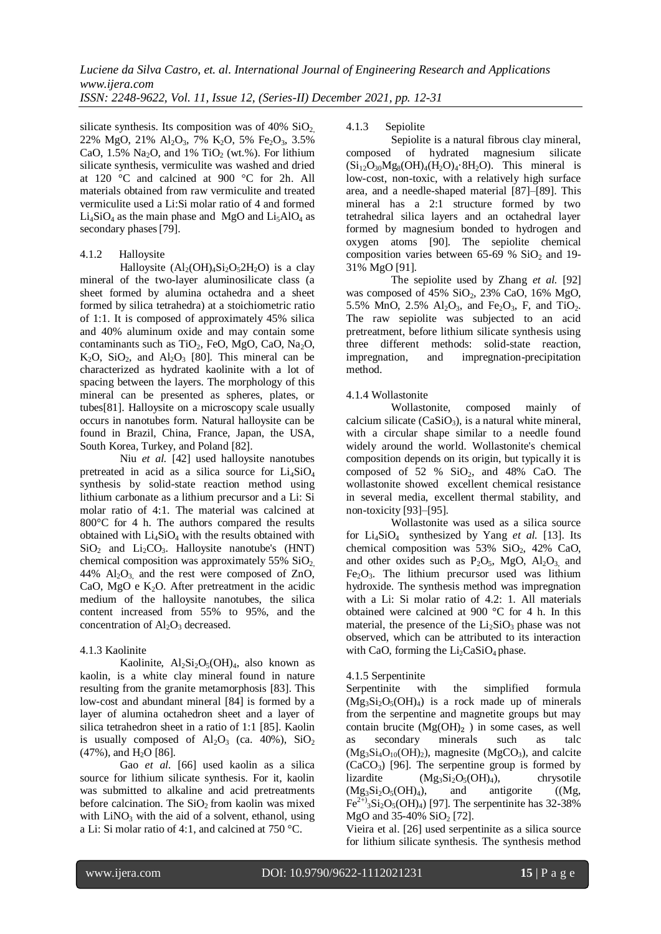silicate synthesis. Its composition was of  $40\%$  SiO<sub>2</sub>, 22% MgO, 21% Al<sub>2</sub>O<sub>3</sub>, 7% K<sub>2</sub>O, 5% Fe<sub>2</sub>O<sub>3</sub>, 3.5% CaO,  $1.5\%$  Na<sub>2</sub>O, and  $1\%$  TiO<sub>2</sub> (wt.%). For lithium silicate synthesis, vermiculite was washed and dried at 120 °C and calcined at 900 °C for 2h. All materials obtained from raw vermiculite and treated vermiculite used a Li:Si molar ratio of 4 and formed  $Li<sub>4</sub>SiO<sub>4</sub>$  as the main phase and MgO and  $Li<sub>5</sub>AlO<sub>4</sub>$  as secondary phases [79].

## 4.1.2 Halloysite

Halloysite  $(Al_2(OH)_4Si_2O_52H_2O)$  is a clay mineral of the two-layer aluminosilicate class (a sheet formed by alumina octahedra and a sheet formed by silica tetrahedra) at a stoichiometric ratio of 1:1. It is composed of approximately 45% silica and 40% aluminum oxide and may contain some contaminants such as  $TiO<sub>2</sub>$ , FeO, MgO, CaO, Na<sub>2</sub>O,  $K_2O$ ,  $SiO_2$ , and  $Al_2O_3$  [80]. This mineral can be characterized as hydrated kaolinite with a lot of spacing between the layers. The morphology of this mineral can be presented as spheres, plates, or tubes[81]. Halloysite on a microscopy scale usually occurs in nanotubes form. Natural halloysite can be found in Brazil, China, France, Japan, the USA, South Korea, Turkey, and Poland [82].

Niu *et al.* [42] used halloysite nanotubes pretreated in acid as a silica source for  $Li<sub>4</sub>SiO<sub>4</sub>$ synthesis by solid-state reaction method using lithium carbonate as a lithium precursor and a Li: Si molar ratio of 4:1. The material was calcined at 800 °C for 4 h. The authors compared the results obtained with  $Li<sub>4</sub>SiO<sub>4</sub>$  with the results obtained with  $SiO<sub>2</sub>$  and  $Li<sub>2</sub>CO<sub>3</sub>$ . Halloysite nanotube's (HNT) chemical composition was approximately  $55\%$  SiO<sub>2</sub>. 44%  $Al_2O_3$ , and the rest were composed of ZnO, CaO, MgO e  $K_2O$ . After pretreatment in the acidic medium of the halloysite nanotubes, the silica content increased from 55% to 95%, and the concentration of  $Al_2O_3$  decreased.

# 4.1.3 Kaolinite

Kaolinite,  $Al_2Si_2O_5(OH)_4$ , also known as kaolin, is a white clay mineral found in nature resulting from the granite metamorphosis [83]. This low-cost and abundant mineral [84] is formed by a layer of alumina octahedron sheet and a layer of silica tetrahedron sheet in a ratio of 1:1 [85]. Kaolin is usually composed of  $Al_2O_3$  (ca. 40%),  $SiO_2$  $(47\%)$ , and  $H<sub>2</sub>O$  [86].

Gao *et al.* [66] used kaolin as a silica source for lithium silicate synthesis. For it, kaolin was submitted to alkaline and acid pretreatments before calcination. The  $SiO<sub>2</sub>$  from kaolin was mixed with  $LiNO<sub>3</sub>$  with the aid of a solvent, ethanol, using a Li: Si molar ratio of 4:1, and calcined at 750 °C.

## 4.1.3 Sepiolite

Sepiolite is a natural fibrous clay mineral, composed of hydrated magnesium silicate  $(Si_{12}O_{30}Mg_8(OH)_4(H_2O)_4.8H_2O)$ . This mineral is low-cost, non-toxic, with a relatively high surface area, and a needle-shaped material [87]–[89]. This mineral has a 2:1 structure formed by two tetrahedral silica layers and an octahedral layer formed by magnesium bonded to hydrogen and oxygen atoms [90]. The sepiolite chemical composition varies between 65-69 %  $SiO<sub>2</sub>$  and 19-31% MgO [91].

The sepiolite used by Zhang *et al.* [92] was composed of  $45\%$  SiO<sub>2</sub>,  $23\%$  CaO,  $16\%$  MgO, 5.5% MnO, 2.5%  $Al_2O_3$ , and Fe<sub>2</sub>O<sub>3</sub>, F, and TiO<sub>2</sub>. The raw sepiolite was subjected to an acid pretreatment, before lithium silicate synthesis using three different methods: solid-state reaction, impregnation, and impregnation-precipitation method.

## 4.1.4 Wollastonite

Wollastonite, composed mainly of calcium silicate  $(CaSiO<sub>3</sub>)$ , is a natural white mineral, with a circular shape similar to a needle found widely around the world. Wollastonite's chemical composition depends on its origin, but typically it is composed of 52 %  $SiO<sub>2</sub>$ , and 48% CaO. The wollastonite showed excellent chemical resistance in several media, excellent thermal stability, and non-toxicity [93]–[95].

Wollastonite was used as a silica source for Li4SiO4 synthesized by Yang *et al.* [13]. Its chemical composition was  $53\%$  SiO<sub>2</sub>,  $42\%$  CaO, and other oxides such as  $P_2O_5$ , MgO,  $Al_2O_3$  and  $Fe<sub>2</sub>O<sub>3</sub>$ . The lithium precursor used was lithium hydroxide. The synthesis method was impregnation with a Li: Si molar ratio of 4.2: 1. All materials obtained were calcined at 900 °C for 4 h. In this material, the presence of the  $Li<sub>2</sub>SiO<sub>3</sub>$  phase was not observed, which can be attributed to its interaction with CaO, forming the  $Li<sub>2</sub>CaSiO<sub>4</sub>$  phase.

## 4.1.5 Serpentinite

Serpentinite with the simplified formula  $(Mg_3Si_2O_5(OH)_4)$  is a rock made up of minerals from the serpentine and magnetite groups but may contain brucite  $(Mg(OH)_2)$  in some cases, as well as secondary minerals such as talc  $(Mg_3Si_4O_{10}(OH)_2)$ , magnesite  $(MgCO_3)$ , and calcite  $(CaCO<sub>3</sub>)$  [96]. The serpentine group is formed by lizardite  $(Mg_3Si_2O_5(OH)_4)$ , chrysotile  $(Mg_3Si_2O_5(OH)_4)$ , and antigorite  $(Mg_3$  $Fe^{2+}{}_{3}Si_{2}O_{5}OH_{4}$ ) [97]. The serpentinite has 32-38% MgO and  $35-40\%$  SiO<sub>2</sub> [72].

Vieira et al. [26] used serpentinite as a silica source for lithium silicate synthesis. The synthesis method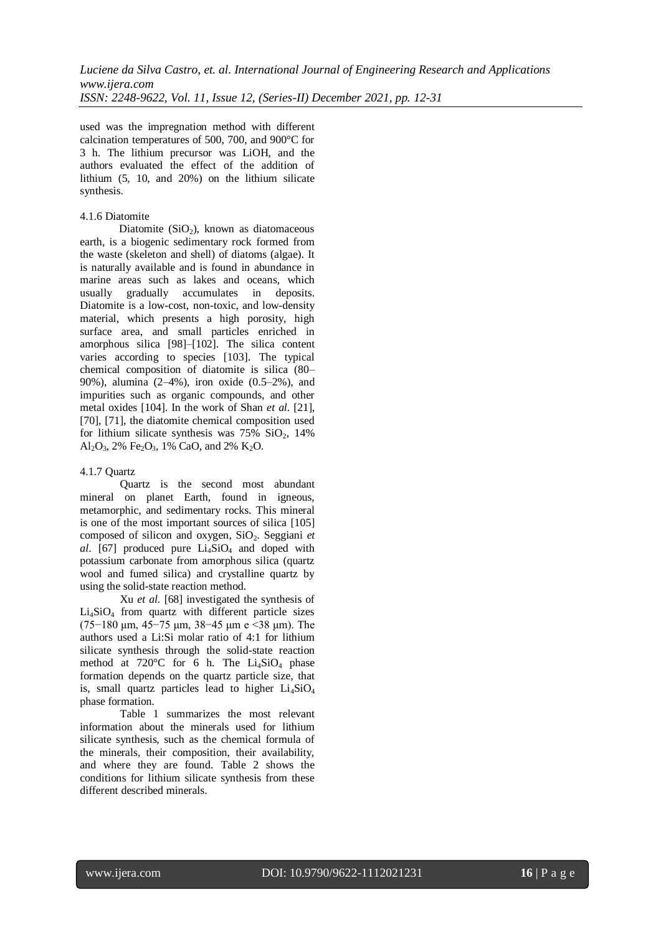used was the impregnation method with different calcination temperatures of 500, 700, and 900°C for 3 h. The lithium precursor was LiOH, and the authors evaluated the effect of the addition of lithium (5, 10, and 20%) on the lithium silicate synthesis.

#### 4.1.6 Diatomite

Diatomite  $(SiO<sub>2</sub>)$ , known as diatomaceous earth, is a biogenic sedimentary rock formed from the waste (skeleton and shell) of diatoms (algae). It is naturally available and is found in abundance in marine areas such as lakes and oceans, which usually gradually accumulates in deposits. Diatomite is a low-cost, non-toxic, and low-density material, which presents a high porosity, high surface area, and small particles enriched in amorphous silica [98]–[102]. The silica content varies according to species [103]. The typical chemical composition of diatomite is silica (80– 90%), alumina (2–4%), iron oxide (0.5–2%), and impurities such as organic compounds, and other metal oxides [104]. In the work of Shan *et al.* [21], [70], [71], the diatomite chemical composition used for lithium silicate synthesis was  $75\%$  SiO<sub>2</sub>, 14% Al<sub>2</sub>O<sub>3</sub>, 2% Fe<sub>2</sub>O<sub>3</sub>, 1% CaO, and 2% K<sub>2</sub>O.

#### 4.1.7 Quartz

Quartz is the second most abundant mineral on planet Earth, found in igneous, metamorphic, and sedimentary rocks. This mineral is one of the most important sources of silica [105] composed of silicon and oxygen, SiO<sub>2</sub>. Seggiani *et al.* [67] produced pure  $Li<sub>4</sub>SiO<sub>4</sub>$  and doped with potassium carbonate from amorphous silica (quartz wool and fumed silica) and crystalline quartz by using the solid-state reaction method.

Xu *et al.* [68] investigated the synthesis of Li4SiO<sup>4</sup> from quartz with different particle sizes (75−180 μm, 45−75 μm, 38−45 μm e <38 μm). The authors used a Li:Si molar ratio of 4:1 for lithium silicate synthesis through the solid-state reaction method at  $720^{\circ}$ C for 6 h. The Li<sub>4</sub>SiO<sub>4</sub> phase formation depends on the quartz particle size, that is, small quartz particles lead to higher  $Li<sub>4</sub>SiO<sub>4</sub>$ phase formation.

Table 1 summarizes the most relevant information about the minerals used for lithium silicate synthesis, such as the chemical formula of the minerals, their composition, their availability, and where they are found. Table 2 shows the conditions for lithium silicate synthesis from these different described minerals.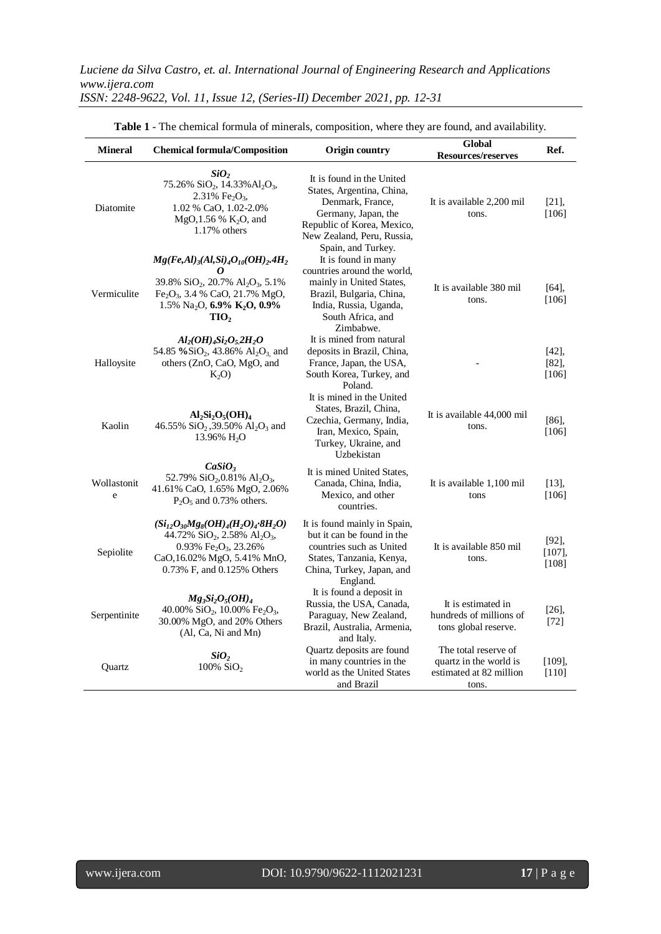| <b>Mineral</b>   | <b>Chemical formula/Composition</b>                                                                                                                                                                                                                               | Origin country                                                                                                                                                                      | <b>Global</b><br><b>Resources/reserves</b>                                         | Ref.                       |
|------------------|-------------------------------------------------------------------------------------------------------------------------------------------------------------------------------------------------------------------------------------------------------------------|-------------------------------------------------------------------------------------------------------------------------------------------------------------------------------------|------------------------------------------------------------------------------------|----------------------------|
| Diatomite        | SiO <sub>2</sub><br>75.26% SiO <sub>2</sub> , 14.33% Al <sub>2</sub> O <sub>3</sub> ,<br>2.31% Fe <sub>2</sub> O <sub>3</sub> ,<br>1.02 % CaO, 1.02-2.0%<br>MgO, 1.56 % K <sub>2</sub> O, and<br>1.17% others                                                     | It is found in the United<br>States, Argentina, China,<br>Denmark, France,<br>Germany, Japan, the<br>Republic of Korea, Mexico,<br>New Zealand, Peru, Russia,<br>Spain, and Turkey. | It is available 2,200 mil<br>tons.                                                 | $[21]$ ,<br>$[106]$        |
| Vermiculite      | $Mg(Fe,Al)_{3}(Al,Si)_{4}O_{10}(OH)_{2}.4H_{2}$<br>0<br>39.8% SiO <sub>2</sub> , 20.7% Al <sub>2</sub> O <sub>3</sub> , 5.1%<br>Fe <sub>2</sub> O <sub>3</sub> , 3.4 % CaO, 21.7% MgO,<br>1.5% Na <sub>2</sub> O, 6.9% K <sub>2</sub> O, 0.9%<br>TIO <sub>2</sub> | It is found in many<br>countries around the world,<br>mainly in United States,<br>Brazil, Bulgaria, China,<br>India, Russia, Uganda,<br>South Africa, and<br>Zimbabwe.              | It is available 380 mil<br>tons.                                                   | [64]<br>[106]              |
| Halloysite       | $Al_2(OH)_4Si_2O_52H_2O$<br>54.85 % $SiO_2$ , 43.86% $Al_2O_3$ and<br>others (ZnO, CaO, MgO, and<br>$K_2O$                                                                                                                                                        | It is mined from natural<br>deposits in Brazil, China,<br>France, Japan, the USA,<br>South Korea, Turkey, and<br>Poland.                                                            |                                                                                    | [42]<br>[82]<br>$[106]$    |
| Kaolin           | $Al_2Si_2O_5(OH)_4$<br>46.55% SiO <sub>2</sub> ,39.50% Al <sub>2</sub> O <sub>3</sub> and<br>13.96% $H_2O$                                                                                                                                                        | It is mined in the United<br>States, Brazil, China,<br>Czechia, Germany, India,<br>Iran, Mexico, Spain,<br>Turkey, Ukraine, and<br>Uzbekistan                                       | It is available 44,000 mil<br>tons.                                                | [86]<br>[106]              |
| Wollastonit<br>e | CaSiO <sub>3</sub><br>52.79% SiO <sub>2</sub> , 0.81% Al <sub>2</sub> O <sub>3</sub> ,<br>41.61% CaO, 1.65% MgO, 2.06%<br>$P_2O_5$ and 0.73% others.                                                                                                              | It is mined United States,<br>Canada, China, India,<br>Mexico, and other<br>countries.                                                                                              | It is available 1,100 mil<br>tons                                                  | $[13]$ ,<br>$[106]$        |
| Sepiolite        | $(Si_{12}O_{30}Mg_8(OH)_4(H_2O)_4.8H_2O)$<br>44.72% $SiO_2$ , 2.58% $Al_2O_3$ ,<br>0.93% Fe <sub>2</sub> O <sub>3</sub> , 23.26%<br>CaO, 16.02% MgO, 5.41% MnO,<br>0.73% F, and 0.125% Others                                                                     | It is found mainly in Spain,<br>but it can be found in the<br>countries such as United<br>States, Tanzania, Kenya,<br>China, Turkey, Japan, and<br>England.                         | It is available 850 mil<br>tons.                                                   | [92]<br>$[107]$ ,<br>[108] |
| Serpentinite     | $Mg_3Si_2O_5(OH)_4$<br>40.00% SiO <sub>2</sub> , 10.00% Fe <sub>2</sub> O <sub>3</sub> ,<br>30.00% MgO, and 20% Others<br>(Al, Ca, Ni and Mn)                                                                                                                     | It is found a deposit in<br>Russia, the USA, Canada,<br>Paraguay, New Zealand,<br>Brazil, Australia, Armenia,<br>and Italy.                                                         | It is estimated in<br>hundreds of millions of<br>tons global reserve.              | $[26]$ ,<br>$[72]$         |
| Quartz           | SiO <sub>2</sub><br>100% $SiO2$                                                                                                                                                                                                                                   | Quartz deposits are found<br>in many countries in the<br>world as the United States<br>and Brazil                                                                                   | The total reserve of<br>quartz in the world is<br>estimated at 82 million<br>tons. | [109],<br>$[110]$          |

**Table 1** - The chemical formula of minerals, composition, where they are found, and availability.

 $\overline{a}$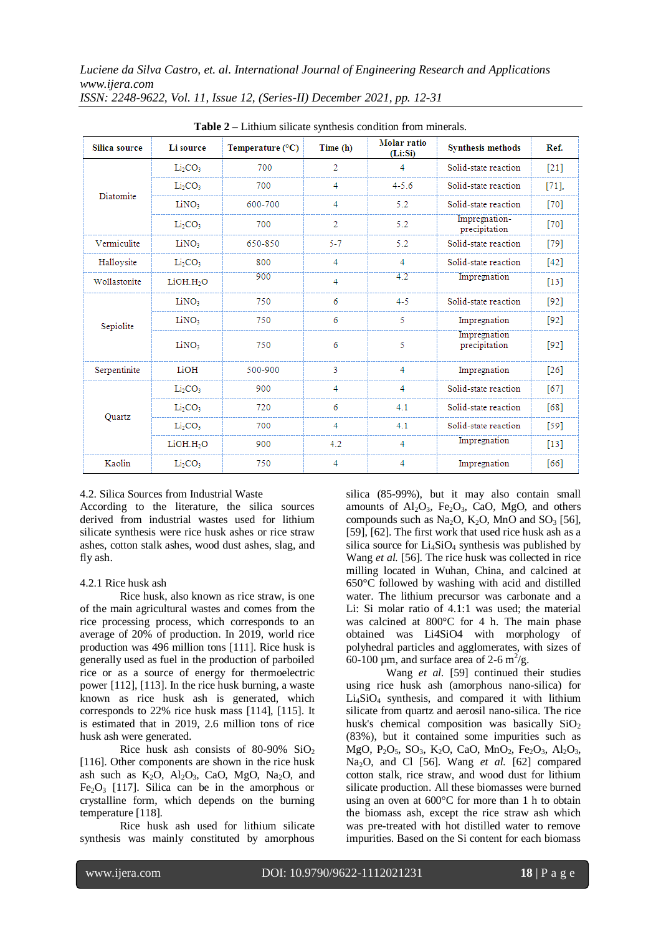| Silica source | Li source                       | Temperature $(^{\circ}C)$ | Time (h) | Molar ratio<br>(Li:Si) | <b>Synthesis methods</b>       | Ref.   |
|---------------|---------------------------------|---------------------------|----------|------------------------|--------------------------------|--------|
|               | Li <sub>2</sub> CO <sub>3</sub> | 700                       | 2        | 4                      | Solid-state reaction           | $[21]$ |
|               | Li <sub>2</sub> CO <sub>3</sub> | 700                       | 4        | $4 - 5.6$              | Solid-state reaction           | $[71]$ |
| Diatomite     | LiNO:                           | 600-700                   | 4        | 5.2                    | Solid-state reaction           | [70]   |
|               | Li <sub>2</sub> CO <sub>3</sub> | 700                       | 2        | 5.2                    | Impregnation-<br>precipitation | $[70]$ |
| Vermiculite   | LiNO <sub>3</sub>               | 650-850                   | 5-7      | 5.2                    | Solid-state reaction           | $[79]$ |
| Halloysite    | Li <sub>2</sub> CO <sub>3</sub> | 800                       | 4        | 4                      | Solid-state reaction           | $[42]$ |
| Wollastonite  | LiOH.H <sub>2</sub> O           | 900                       | 4        | 4.2                    | Impregnation                   | $[13]$ |
|               | LiNO <sub>3</sub>               | 750                       | 6        | $4 - 5$                | Solid-state reaction           | $[92]$ |
| Sepiolite     | LiNO <sub>3</sub>               | 750                       | 6        | 5                      | Impregnation                   | $[92]$ |
|               | LiNO <sub>3</sub>               | 750                       | 6        | 5                      | Impregnation<br>precipitation  | $[92]$ |
| Serpentinite  | LiOH                            | 500-900                   | 3        | 4                      | Impregnation                   | $[26]$ |
|               | Li <sub>2</sub> CO <sub>3</sub> | 900                       | 4        | 4                      | Solid-state reaction           | [67]   |
|               | Li <sub>2</sub> CO <sub>3</sub> | 720                       | 6        | 4.1                    | Solid-state reaction           | [68]   |
| Ouartz        | Li <sub>2</sub> CO <sub>3</sub> | 700                       | 4        | 4.1                    | Solid-state reaction           | $[59]$ |
|               | LiOH.H <sub>2</sub> O           | 900                       | 4.2      | 4                      | Impregnation                   | $[13]$ |
| Kaolin        | Li <sub>2</sub> CO <sub>3</sub> | 750                       | 4        | 4                      | Impregnation                   | [66]   |

**Table 2 –** Lithium silicate synthesis condition from minerals.

## 4.2. Silica Sources from Industrial Waste

According to the literature, the silica sources derived from industrial wastes used for lithium silicate synthesis were rice husk ashes or rice straw ashes, cotton stalk ashes, wood dust ashes, slag, and fly ash.

# 4.2.1 Rice husk ash

Rice husk, also known as rice straw, is one of the main agricultural wastes and comes from the rice processing process, which corresponds to an average of 20% of production. In 2019, world rice production was 496 million tons [111]. Rice husk is generally used as fuel in the production of parboiled rice or as a source of energy for thermoelectric power [112], [113]. In the rice husk burning, a waste known as rice husk ash is generated, which corresponds to 22% rice husk mass [114], [115]. It is estimated that in 2019, 2.6 million tons of rice husk ash were generated.

Rice husk ash consists of 80-90%  $SiO<sub>2</sub>$ [116]. Other components are shown in the rice husk ash such as  $K_2O$ ,  $Al_2O_3$ , CaO, MgO, Na<sub>2</sub>O, and  $Fe<sub>2</sub>O<sub>3</sub>$  [117]. Silica can be in the amorphous or crystalline form, which depends on the burning temperature [118].

Rice husk ash used for lithium silicate synthesis was mainly constituted by amorphous silica (85-99%), but it may also contain small amounts of  $Al_2O_3$ , Fe<sub>2</sub>O<sub>3</sub>, CaO, MgO, and others compounds such as Na<sub>2</sub>O, K<sub>2</sub>O, MnO and SO<sub>3</sub> [56], [59], [62]. The first work that used rice husk ash as a silica source for  $Li<sub>4</sub>SiO<sub>4</sub>$  synthesis was published by Wang *et al.* [56]. The rice husk was collected in rice milling located in Wuhan, China, and calcined at 650°C followed by washing with acid and distilled water. The lithium precursor was carbonate and a Li: Si molar ratio of 4.1:1 was used; the material was calcined at 800°C for 4 h. The main phase obtained was Li4SiO4 with morphology of polyhedral particles and agglomerates, with sizes of 60-100  $\mu$ m, and surface area of 2-6 m<sup>2</sup>/g.

Wang *et al.* [59] continued their studies using rice husk ash (amorphous nano-silica) for  $Li<sub>4</sub>SiO<sub>4</sub>$  synthesis, and compared it with lithium silicate from quartz and aerosil nano-silica. The rice husk's chemical composition was basically  $SiO<sub>2</sub>$ (83%), but it contained some impurities such as MgO, P<sub>2</sub>O<sub>5</sub>, SO<sub>3</sub>, K<sub>2</sub>O, CaO, MnO<sub>2</sub>, Fe<sub>2</sub>O<sub>3</sub>, Al<sub>2</sub>O<sub>3</sub>, Na2O, and Cl [56]. Wang *et al.* [62] compared cotton stalk, rice straw, and wood dust for lithium silicate production. All these biomasses were burned using an oven at 600°C for more than 1 h to obtain the biomass ash, except the rice straw ash which was pre-treated with hot distilled water to remove impurities. Based on the Si content for each biomass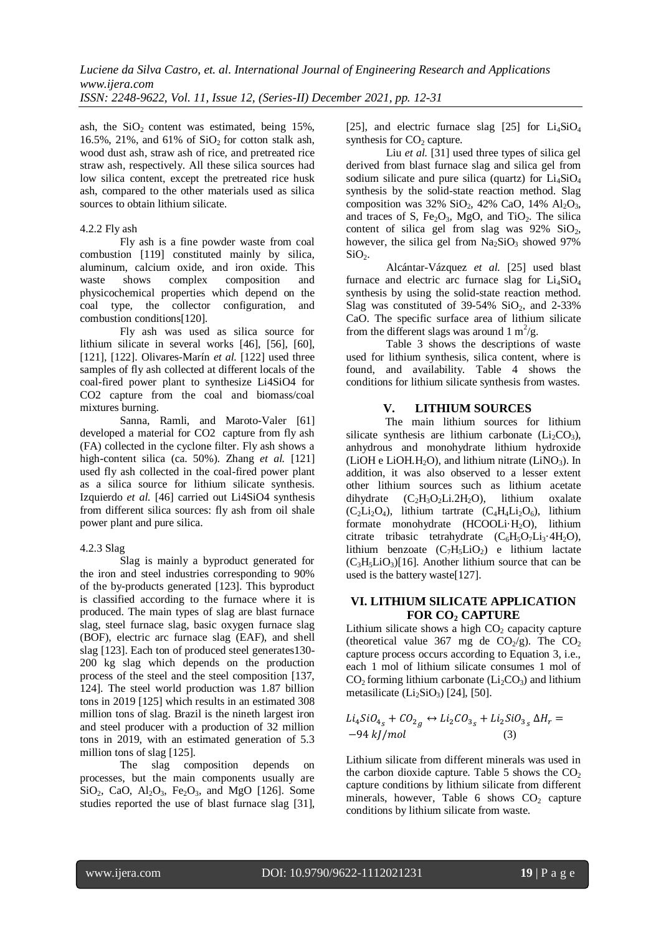ash, the  $SiO<sub>2</sub>$  content was estimated, being 15%, 16.5%, 21%, and 61% of  $SiO<sub>2</sub>$  for cotton stalk ash, wood dust ash, straw ash of rice, and pretreated rice straw ash, respectively. All these silica sources had low silica content, except the pretreated rice husk ash, compared to the other materials used as silica sources to obtain lithium silicate.

## 4.2.2 Fly ash

Fly ash is a fine powder waste from coal combustion [119] constituted mainly by silica, aluminum, calcium oxide, and iron oxide. This waste shows complex composition and physicochemical properties which depend on the coal type, the collector configuration, and combustion conditions[120].

Fly ash was used as silica source for lithium silicate in several works [46], [56], [60], [121], [122]. Olivares-Marín *et al.* [122] used three samples of fly ash collected at different locals of the coal-fired power plant to synthesize Li4SiO4 for CO2 capture from the coal and biomass/coal mixtures burning.

Sanna, Ramli, and Maroto-Valer [61] developed a material for CO2 capture from fly ash (FA) collected in the cyclone filter. Fly ash shows a high-content silica (ca. 50%). Zhang *et al.* [121] used fly ash collected in the coal-fired power plant as a silica source for lithium silicate synthesis. Izquierdo *et al.* [46] carried out Li4SiO4 synthesis from different silica sources: fly ash from oil shale power plant and pure silica.

# 4.2.3 Slag

Slag is mainly a byproduct generated for the iron and steel industries corresponding to 90% of the by-products generated [123]. This byproduct is classified according to the furnace where it is produced. The main types of slag are blast furnace slag, steel furnace slag, basic oxygen furnace slag (BOF), electric arc furnace slag (EAF), and shell slag [123]. Each ton of produced steel generates130- 200 kg slag which depends on the production process of the steel and the steel composition [137, 124]. The steel world production was 1.87 billion tons in 2019 [125] which results in an estimated 308 million tons of slag. Brazil is the nineth largest iron and steel producer with a production of 32 million tons in 2019, with an estimated generation of 5.3 million tons of slag [125].

The slag composition depends on processes, but the main components usually are  $SiO_2$ , CaO, Al<sub>2</sub>O<sub>3</sub>, Fe<sub>2</sub>O<sub>3</sub>, and MgO [126]. Some studies reported the use of blast furnace slag [31], [25], and electric furnace slag [25] for  $Li<sub>4</sub>SiO<sub>4</sub>$ synthesis for  $CO<sub>2</sub>$  capture.

Liu *et al.* [31] used three types of silica gel derived from blast furnace slag and silica gel from sodium silicate and pure silica (quartz) for  $Li<sub>4</sub>SiO<sub>4</sub>$ synthesis by the solid-state reaction method. Slag composition was  $32\%$  SiO<sub>2</sub>,  $42\%$  CaO,  $14\%$  Al<sub>2</sub>O<sub>3</sub>, and traces of S, Fe<sub>2</sub>O<sub>3</sub>, MgO, and TiO<sub>2</sub>. The silica content of silica gel from slag was  $92\%$  SiO<sub>2</sub>, however, the silica gel from  $Na_2SiO_3$  showed 97%  $SiO<sub>2</sub>$ .

Alcántar-Vázquez *et al.* [25] used blast furnace and electric arc furnace slag for  $Li<sub>4</sub>SiO<sub>4</sub>$ synthesis by using the solid-state reaction method. Slag was constituted of  $39-54\%$  SiO<sub>2</sub>, and 2-33% CaO. The specific surface area of lithium silicate from the different slags was around  $1 \text{ m}^2/\text{g}$ .

Table 3 shows the descriptions of waste used for lithium synthesis, silica content, where is found, and availability. Table 4 shows the conditions for lithium silicate synthesis from wastes.

# **V. LITHIUM SOURCES**

The main lithium sources for lithium silicate synthesis are lithium carbonate  $(Li_2CO_3)$ , anhydrous and monohydrate lithium hydroxide (LiOH e LiOH.H<sub>2</sub>O), and lithium nitrate (LiNO<sub>3</sub>). In addition, it was also observed to a lesser extent other lithium sources such as lithium acetate dihydrate  $(C_2H_3O_2Li.2H_2O)$ , lithium oxalate  $(C_2Li_2O_4)$ , lithium tartrate  $(C_4H_4Li_2O_6)$ , lithium formate monohydrate  $(HCOOLi·H<sub>2</sub>O)$ , lithium citrate tribasic tetrahydrate  $(C_6H_5O_7Li_3.4H_2O)$ , lithium benzoate  $(C_7H_5LiO_2)$  e lithium lactate  $(C_3H_5LiO_3)[16]$ . Another lithium source that can be used is the battery waste[127].

# **VI. LITHIUM SILICATE APPLICATION FOR CO<sup>2</sup> CAPTURE**

Lithium silicate shows a high  $CO<sub>2</sub>$  capacity capture (theoretical value 367 mg de  $CO<sub>2</sub>/g$ ). The  $CO<sub>2</sub>$ capture process occurs according to Equation 3, i.e., each 1 mol of lithium silicate consumes 1 mol of  $CO<sub>2</sub>$  forming lithium carbonate ( $Li<sub>2</sub>CO<sub>3</sub>$ ) and lithium metasilicate  $(Li<sub>2</sub>SiO<sub>3</sub>)$  [24], [50].

$$
Li_4SiO_{4s} + CO_{2g} \leftrightarrow Li_2CO_{3s} + Li_2SiO_{3s} \Delta H_r = -94 \, kJ/mol
$$
 (3)

Lithium silicate from different minerals was used in the carbon dioxide capture. Table  $5$  shows the  $CO<sub>2</sub>$ capture conditions by lithium silicate from different minerals, however, Table 6 shows  $CO<sub>2</sub>$  capture conditions by lithium silicate from waste.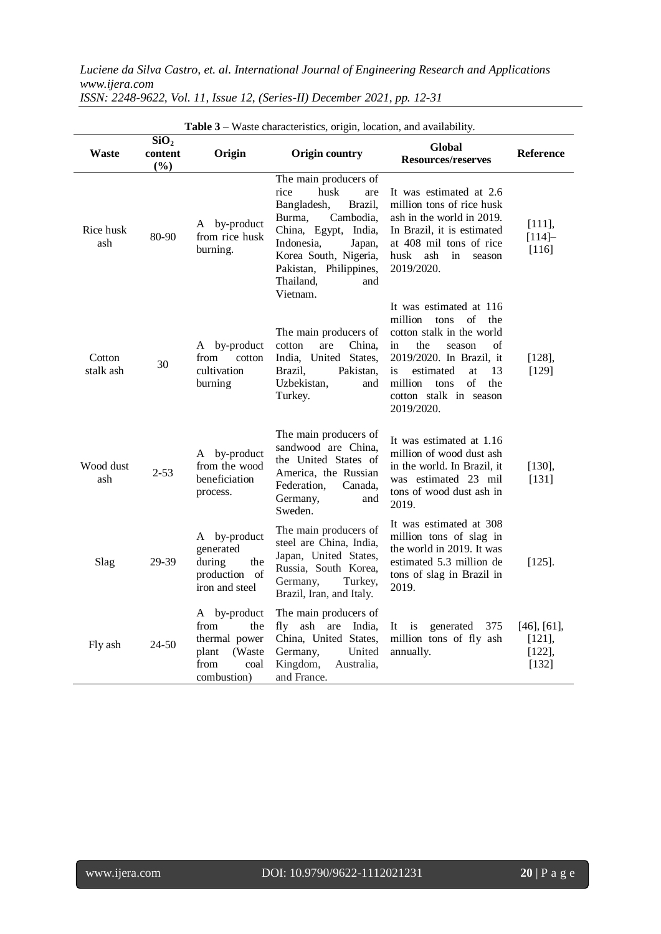| <b>Table 3</b> – Waste characteristics, origin, location, and availability. |                                    |                                                                                                |                                                                                                                                                                                                                                  |                                                                                                                                                                                                                                                      |                                                        |  |
|-----------------------------------------------------------------------------|------------------------------------|------------------------------------------------------------------------------------------------|----------------------------------------------------------------------------------------------------------------------------------------------------------------------------------------------------------------------------------|------------------------------------------------------------------------------------------------------------------------------------------------------------------------------------------------------------------------------------------------------|--------------------------------------------------------|--|
| Waste                                                                       | SiO <sub>2</sub><br>content<br>(%) | Origin                                                                                         | Origin country                                                                                                                                                                                                                   | Global<br>Resources/reserves                                                                                                                                                                                                                         | <b>Reference</b>                                       |  |
| Rice husk<br>ash                                                            | 80-90                              | A by-product<br>from rice husk<br>burning.                                                     | The main producers of<br>rice<br>husk<br>are<br>Bangladesh,<br>Brazil,<br>Burma.<br>Cambodia,<br>China, Egypt, India,<br>Indonesia,<br>Japan,<br>Korea South, Nigeria,<br>Pakistan, Philippines,<br>Thailand,<br>and<br>Vietnam. | It was estimated at 2.6<br>million tons of rice husk<br>ash in the world in 2019.<br>In Brazil, it is estimated<br>at 408 mil tons of rice<br>husk<br>ash<br>in<br>season<br>2019/2020.                                                              | [111],<br>$[114] -$<br>$[116]$                         |  |
| Cotton<br>stalk ash                                                         | 30                                 | A by-product<br>from<br>cotton<br>cultivation<br>burning                                       | The main producers of<br>China.<br>cotton<br>are<br>India, United States,<br>Brazil,<br>Pakistan,<br>Uzbekistan,<br>and<br>Turkey.                                                                                               | It was estimated at 116<br>million<br>tons<br>οf<br>the<br>cotton stalk in the world<br>the<br>of<br>in<br>season<br>2019/2020. In Brazil, it<br>estimated<br>13<br>is<br>at<br>of<br>million<br>tons<br>the<br>cotton stalk in season<br>2019/2020. | $[128]$ ,<br>[129]                                     |  |
| Wood dust<br>ash                                                            | $2 - 53$                           | by-product<br>A<br>from the wood<br>beneficiation<br>process.                                  | The main producers of<br>sandwood are China,<br>the United States of<br>America, the Russian<br>Federation,<br>Canada.<br>Germany,<br>and<br>Sweden.                                                                             | It was estimated at 1.16<br>million of wood dust ash<br>in the world. In Brazil, it<br>was estimated 23 mil<br>tons of wood dust ash in<br>2019.                                                                                                     | [130],<br>[131]                                        |  |
| Slag                                                                        | 29-39                              | A by-product<br>generated<br>during<br>the<br>production of<br>iron and steel                  | The main producers of<br>steel are China, India,<br>Japan, United States,<br>Russia, South Korea,<br>Germany,<br>Turkey,<br>Brazil, Iran, and Italy.                                                                             | It was estimated at 308<br>million tons of slag in<br>the world in 2019. It was<br>estimated 5.3 million de<br>tons of slag in Brazil in<br>2019.                                                                                                    | $[125]$ .                                              |  |
| Fly ash                                                                     | 24-50                              | A by-product<br>from<br>the<br>thermal power<br>(Waste<br>plant<br>from<br>coal<br>combustion) | The main producers of<br>ash are<br>fly<br>India,<br>China, United States,<br>United<br>Germany,<br>Kingdom,<br>Australia,<br>and France.                                                                                        | It<br>is<br>generated<br>375<br>million tons of fly ash<br>annually.                                                                                                                                                                                 | $[46]$ , $[61]$ ,<br>$[121]$ ,<br>$[122]$ ,<br>$[132]$ |  |

*ISSN: 2248-9622, Vol. 11, Issue 12, (Series-II) December 2021, pp. 12-31*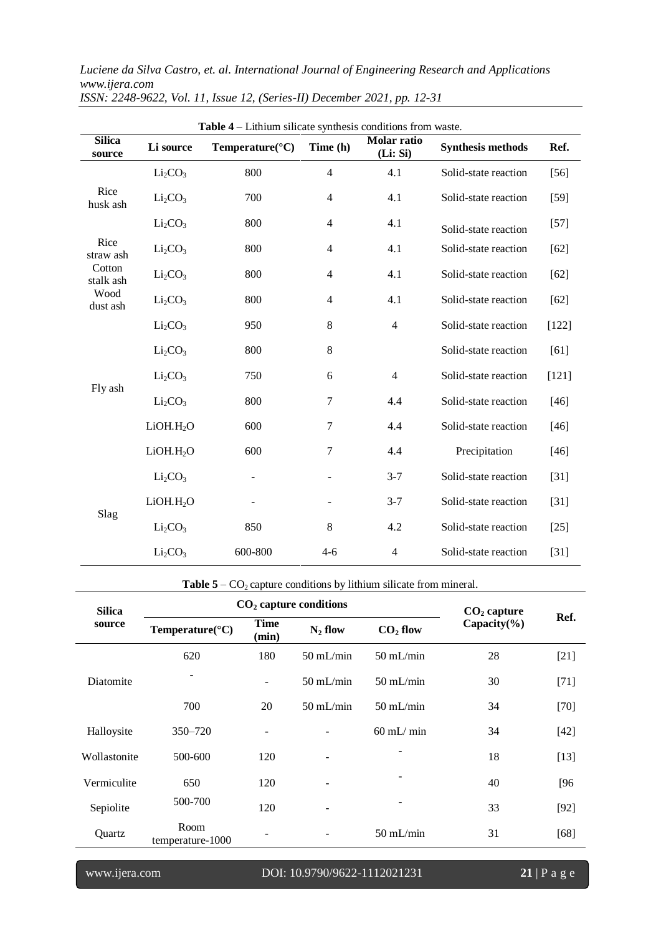| Table 4 – Lithium silicate synthesis conditions from waste. |                                 |                              |                          |                        |                          |         |  |
|-------------------------------------------------------------|---------------------------------|------------------------------|--------------------------|------------------------|--------------------------|---------|--|
| <b>Silica</b><br>source                                     | Li source                       | Temperature( ${}^{\circ}C$ ) | Time (h)                 | Molar ratio<br>(Li:Si) | <b>Synthesis methods</b> | Ref.    |  |
| Rice<br>husk ash                                            | Li <sub>2</sub> CO <sub>3</sub> | 800                          | $\overline{4}$           | 4.1                    | Solid-state reaction     | $[56]$  |  |
|                                                             | Li <sub>2</sub> CO <sub>3</sub> | 700                          | $\overline{4}$           | 4.1                    | Solid-state reaction     | $[59]$  |  |
|                                                             | Li <sub>2</sub> CO <sub>3</sub> | 800                          | $\overline{4}$           | 4.1                    | Solid-state reaction     | $[57]$  |  |
| Rice<br>straw ash                                           | Li <sub>2</sub> CO <sub>3</sub> | 800                          | $\overline{4}$           | 4.1                    | Solid-state reaction     | $[62]$  |  |
| Cotton<br>stalk ash                                         | Li <sub>2</sub> CO <sub>3</sub> | 800                          | $\overline{4}$           | 4.1                    | Solid-state reaction     | $[62]$  |  |
| Wood<br>dust ash                                            | Li <sub>2</sub> CO <sub>3</sub> | 800                          | $\overline{4}$           | 4.1                    | Solid-state reaction     | $[62]$  |  |
|                                                             | Li <sub>2</sub> CO <sub>3</sub> | 950                          | 8                        | $\overline{4}$         | Solid-state reaction     | $[122]$ |  |
|                                                             | Li <sub>2</sub> CO <sub>3</sub> | 800                          | $8\,$                    |                        | Solid-state reaction     | [61]    |  |
|                                                             | Li <sub>2</sub> CO <sub>3</sub> | 750                          | 6                        | $\overline{4}$         | Solid-state reaction     | $[121]$ |  |
| Fly ash                                                     | Li <sub>2</sub> CO <sub>3</sub> | 800                          | 7                        | 4.4                    | Solid-state reaction     | $[46]$  |  |
|                                                             | LiOH.H <sub>2</sub> O           | 600                          | 7                        | 4.4                    | Solid-state reaction     | $[46]$  |  |
|                                                             | LiOH.H <sub>2</sub> O           | 600                          | 7                        | 4.4                    | Precipitation            | $[46]$  |  |
|                                                             | Li <sub>2</sub> CO <sub>3</sub> | $\overline{\phantom{0}}$     | $\overline{\phantom{a}}$ | $3 - 7$                | Solid-state reaction     | $[31]$  |  |
| Slag                                                        | LiOH.H <sub>2</sub> O           |                              |                          | $3 - 7$                | Solid-state reaction     | $[31]$  |  |
|                                                             | Li <sub>2</sub> CO <sub>3</sub> | 850                          | 8                        | 4.2                    | Solid-state reaction     | $[25]$  |  |
|                                                             | Li <sub>2</sub> CO <sub>3</sub> | 600-800                      | $4 - 6$                  | $\overline{4}$         | Solid-state reaction     | $[31]$  |  |

*ISSN: 2248-9622, Vol. 11, Issue 12, (Series-II) December 2021, pp. 12-31*

**Table**  $5 - CO_2$  **capture conditions by lithium silicate from mineral.** 

| <b>Silica</b> | $CO2$ capture conditions                                                         | $CO2$ capture |                     |                          |      |        |
|---------------|----------------------------------------------------------------------------------|---------------|---------------------|--------------------------|------|--------|
| source        | <b>Time</b><br>$CO2$ flow<br>Temperature( ${}^{\circ}$ C)<br>$N_2$ flow<br>(min) |               |                     | Capacity $(\frac{6}{6})$ | Ref. |        |
|               | 620                                                                              | 180           | $50 \text{ mL/min}$ | $50 \text{ mL/min}$      | 28   | $[21]$ |
| Diatomite     |                                                                                  | -             | $50$ mL/min         | $50$ mL/min              | 30   | $[71]$ |
|               | 700                                                                              | 20            | $50$ mL/min         | $50$ mL/min              | 34   | $[70]$ |
| Halloysite    | $350 - 720$                                                                      |               |                     | $60$ mL/ min             | 34   | $[42]$ |
| Wollastonite  | 500-600                                                                          | 120           |                     |                          | 18   | $[13]$ |
| Vermiculite   | 650                                                                              | 120           |                     |                          | 40   | [96]   |
| Sepiolite     | 500-700                                                                          | 120           |                     |                          | 33   | $[92]$ |
| Quartz        | Room<br>temperature-1000                                                         |               |                     | $50$ mL/min              | 31   | $[68]$ |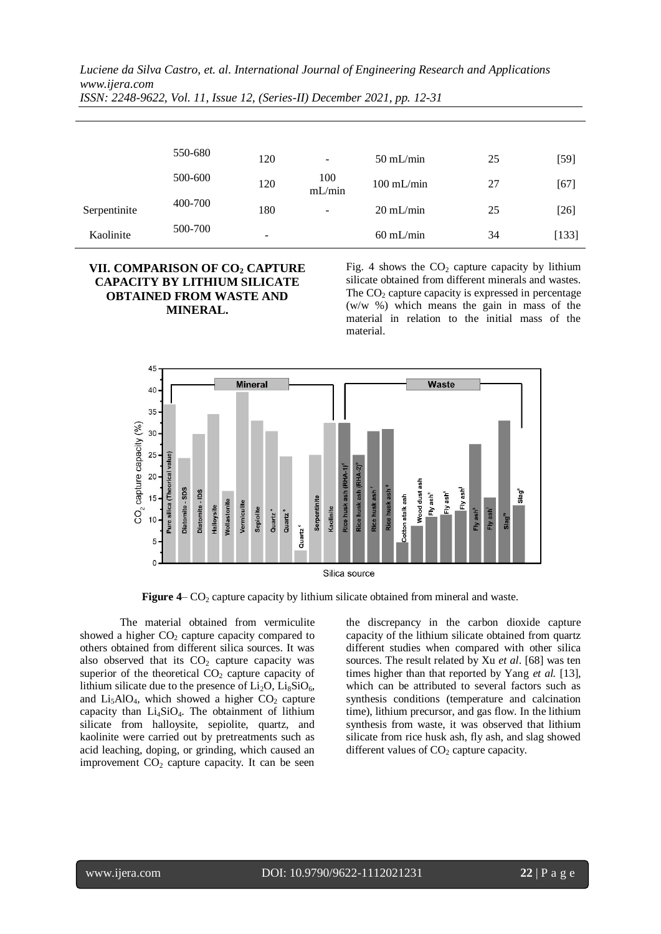|              |         |     |               | . .                 |    |         |
|--------------|---------|-----|---------------|---------------------|----|---------|
|              |         |     |               |                     |    |         |
|              |         |     |               |                     |    |         |
|              | 550-680 | 120 |               | $50$ mL/min         | 25 | $[59]$  |
|              | 500-600 | 120 | 100<br>mL/min | $100$ mL/min        | 27 | $[67]$  |
| Serpentinite | 400-700 | 180 |               | $20 \text{ mL/min}$ | 25 | $[26]$  |
| Kaolinite    | 500-700 | -   |               | $60$ mL/min         | 34 | $[133]$ |
|              |         |     |               |                     |    |         |

*Luciene da Silva Castro, et. al. International Journal of Engineering Research and Applications www.ijera.com ISSN: 2248-9622, Vol. 11, Issue 12, (Series-II) December 2021, pp. 12-31*

## **VII. COMPARISON OF CO<sup>2</sup> CAPTURE CAPACITY BY LITHIUM SILICATE OBTAINED FROM WASTE AND MINERAL.**

Fig. 4 shows the  $CO<sub>2</sub>$  capture capacity by lithium silicate obtained from different minerals and wastes. The  $CO<sub>2</sub>$  capture capacity is expressed in percentage (w/w %) which means the gain in mass of the material in relation to the initial mass of the material.



**Figure 4–** CO<sub>2</sub> capture capacity by lithium silicate obtained from mineral and waste.

The material obtained from vermiculite showed a higher  $CO<sub>2</sub>$  capture capacity compared to others obtained from different silica sources. It was also observed that its  $CO<sub>2</sub>$  capture capacity was superior of the theoretical  $CO<sub>2</sub>$  capture capacity of lithium silicate due to the presence of  $Li_2O$ ,  $Li_8SiO_6$ , and  $Li<sub>5</sub>AIO<sub>4</sub>$ , which showed a higher CO<sub>2</sub> capture capacity than  $Li<sub>4</sub>SiO<sub>4</sub>$ . The obtainment of lithium silicate from halloysite, sepiolite, quartz, and kaolinite were carried out by pretreatments such as acid leaching, doping, or grinding, which caused an improvement  $CO<sub>2</sub>$  capture capacity. It can be seen the discrepancy in the carbon dioxide capture capacity of the lithium silicate obtained from quartz different studies when compared with other silica sources. The result related by Xu *et al*. [68] was ten times higher than that reported by Yang *et al.* [13], which can be attributed to several factors such as synthesis conditions (temperature and calcination time), lithium precursor, and gas flow. In the lithium synthesis from waste, it was observed that lithium silicate from rice husk ash, fly ash, and slag showed different values of  $CO<sub>2</sub>$  capture capacity.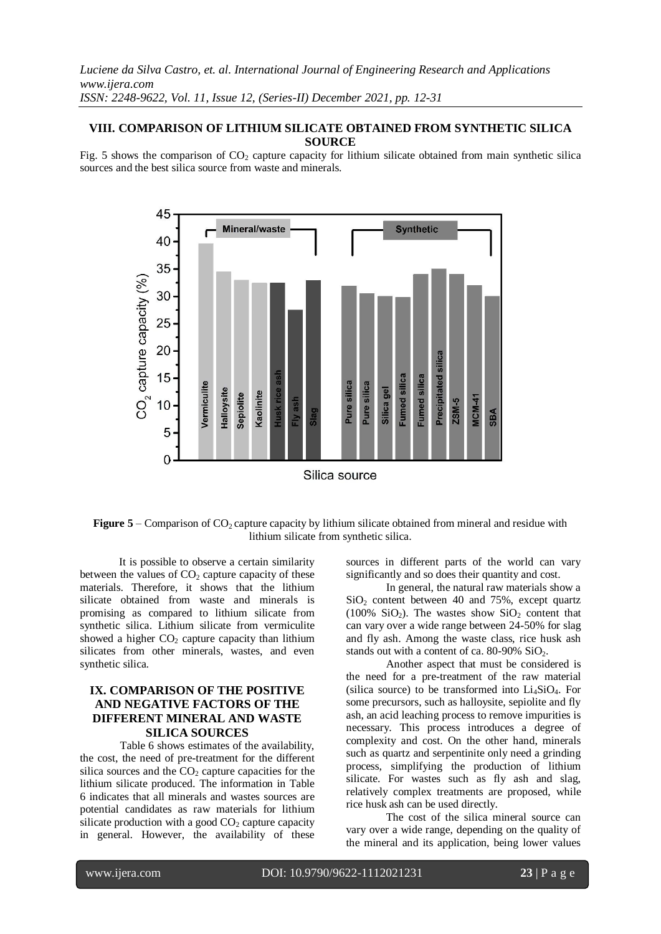## **VIII. COMPARISON OF LITHIUM SILICATE OBTAINED FROM SYNTHETIC SILICA SOURCE**

Fig. 5 shows the comparison of  $CO<sub>2</sub>$  capture capacity for lithium silicate obtained from main synthetic silica sources and the best silica source from waste and minerals.



**Figure 5** – Comparison of  $CO_2$  capture capacity by lithium silicate obtained from mineral and residue with lithium silicate from synthetic silica.

It is possible to observe a certain similarity between the values of  $CO<sub>2</sub>$  capture capacity of these materials. Therefore, it shows that the lithium silicate obtained from waste and minerals is promising as compared to lithium silicate from synthetic silica. Lithium silicate from vermiculite showed a higher  $CO<sub>2</sub>$  capture capacity than lithium silicates from other minerals, wastes, and even synthetic silica.

# **IX. COMPARISON OF THE POSITIVE AND NEGATIVE FACTORS OF THE DIFFERENT MINERAL AND WASTE SILICA SOURCES**

Table 6 shows estimates of the availability, the cost, the need of pre-treatment for the different silica sources and the  $CO<sub>2</sub>$  capture capacities for the lithium silicate produced. The information in Table 6 indicates that all minerals and wastes sources are potential candidates as raw materials for lithium silicate production with a good  $CO<sub>2</sub>$  capture capacity in general. However, the availability of these

sources in different parts of the world can vary significantly and so does their quantity and cost.

In general, the natural raw materials show a  $SiO<sub>2</sub>$  content between 40 and 75%, except quartz (100%  $SiO<sub>2</sub>$ ). The wastes show  $SiO<sub>2</sub>$  content that can vary over a wide range between 24-50% for slag and fly ash. Among the waste class, rice husk ash stands out with a content of ca.  $80-90\%$  SiO<sub>2</sub>.

Another aspect that must be considered is the need for a pre-treatment of the raw material (silica source) to be transformed into  $Li<sub>4</sub>SiO<sub>4</sub>$ . For some precursors, such as halloysite, sepiolite and fly ash, an acid leaching process to remove impurities is necessary. This process introduces a degree of complexity and cost. On the other hand, minerals such as quartz and serpentinite only need a grinding process, simplifying the production of lithium silicate. For wastes such as fly ash and slag, relatively complex treatments are proposed, while rice husk ash can be used directly.

The cost of the silica mineral source can vary over a wide range, depending on the quality of the mineral and its application, being lower values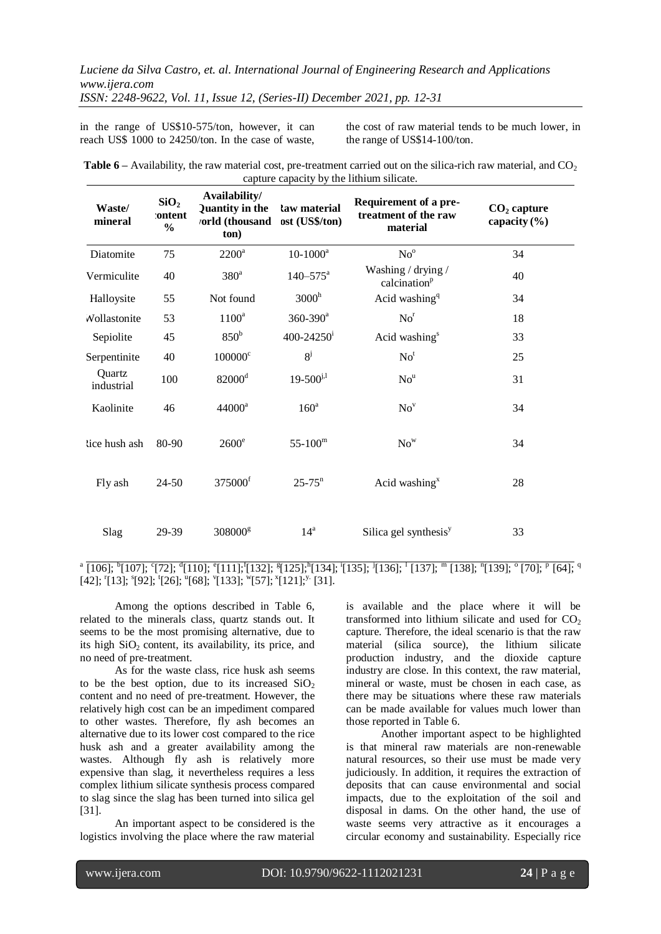*ISSN: 2248-9622, Vol. 11, Issue 12, (Series-II) December 2021, pp. 12-31*

in the range of US\$10-575/ton, however, it can reach US\$ 1000 to 24250/ton. In the case of waste, the cost of raw material tends to be much lower, in the range of US\$14-100/ton.

| <b>Table 6</b> – Availability, the raw material cost, pre-treatment carried out on the silica-rich raw material, and $CO2$ |  |
|----------------------------------------------------------------------------------------------------------------------------|--|
| capture capacity by the lithium silicate.                                                                                  |  |

| Waste/<br>mineral    | SiO <sub>2</sub><br>:ontent<br>$\frac{0}{0}$ | Availability/<br>Quantity in the<br>vorld (thousand<br>ton) | law material<br>ost (US\$/ton) | Requirement of a pre-<br>treatment of the raw<br>material | $CO2$ capture<br>capacity $(\% )$ |
|----------------------|----------------------------------------------|-------------------------------------------------------------|--------------------------------|-----------------------------------------------------------|-----------------------------------|
| Diatomite            | 75                                           | $2200^a$                                                    | $10-1000^a$                    | No <sup>o</sup>                                           | 34                                |
| Vermiculite          | 40                                           | 380 <sup>a</sup>                                            | $140 - 575$ <sup>a</sup>       | Washing / drying /<br>calcination <sup>p</sup>            | 40                                |
| Halloysite           | 55                                           | Not found                                                   | 3000 <sup>h</sup>              | Acid washing <sup>q</sup>                                 | 34                                |
| Wollastonite         | 53                                           | $1100^a$                                                    | $360 - 390$ <sup>a</sup>       | No <sup>r</sup>                                           | 18                                |
| Sepiolite            | 45                                           | 850 <sup>b</sup>                                            | $400 - 24250$ <sup>i</sup>     | Acid washing <sup>s</sup>                                 | 33                                |
| Serpentinite         | 40                                           | $100000$ <sup>c</sup>                                       | $8^{j}$                        | No <sup>t</sup>                                           | 25                                |
| Quartz<br>industrial | 100                                          | $82000$ <sup>d</sup>                                        | $19 - 500^{j,l}$               | No <sup>u</sup>                                           | 31                                |
| Kaolinite            | 46                                           | $44000^a$                                                   | 160 <sup>a</sup>               | No <sup>v</sup>                                           | 34                                |
| tice hush ash        | 80-90                                        | $2600^\circ$                                                | $55 - 100^{\rm m}$             | $No^w$                                                    | 34                                |
| Fly ash              | $24 - 50$                                    | 375000 <sup>f</sup>                                         | $25 - 75$ <sup>n</sup>         | Acid washing $x$                                          | 28                                |
| Slag                 | 29-39                                        | 308000g                                                     | 14 <sup>a</sup>                | Silica gel synthesis <sup>y</sup>                         | 33                                |

## <sup>a</sup>  $\overline{[106]};$   $\overline{[107]};$   $\overline{[72]};$   $\overline{[110]};$   $\overline{[111]};$   $\overline{[132]};$   $\overline{[125]};$   $\overline{[134]};$   $\overline{[135]};$   $\overline{[136]};$   $\overline{[137]};$   $\overline{m}$   $\overline{[138]};$   $\overline{n}$  $\overline{[139]};$   $\overline{[07]};$   $\overline{p}$   $\overline{[64]};$   $[42]$ ;  $[13]$ ;  $[92]$ ;  $[26]$ ;  $[68]$ ;  $[133]$ ;  $[57]$ ;  $[121]$ ;  $[31]$ .

Among the options described in Table 6, related to the minerals class, quartz stands out. It seems to be the most promising alternative, due to its high  $SiO<sub>2</sub>$  content, its availability, its price, and no need of pre-treatment.

As for the waste class, rice husk ash seems to be the best option, due to its increased  $SiO<sub>2</sub>$ content and no need of pre-treatment. However, the relatively high cost can be an impediment compared to other wastes. Therefore, fly ash becomes an alternative due to its lower cost compared to the rice husk ash and a greater availability among the wastes. Although fly ash is relatively more expensive than slag, it nevertheless requires a less complex lithium silicate synthesis process compared to slag since the slag has been turned into silica gel [31].

An important aspect to be considered is the logistics involving the place where the raw material

is available and the place where it will be transformed into lithium silicate and used for  $CO<sub>2</sub>$ capture. Therefore, the ideal scenario is that the raw material (silica source), the lithium silicate production industry, and the dioxide capture industry are close. In this context, the raw material, mineral or waste, must be chosen in each case, as there may be situations where these raw materials can be made available for values much lower than those reported in Table 6.

Another important aspect to be highlighted is that mineral raw materials are non-renewable natural resources, so their use must be made very judiciously. In addition, it requires the extraction of deposits that can cause environmental and social impacts, due to the exploitation of the soil and disposal in dams. On the other hand, the use of waste seems very attractive as it encourages a circular economy and sustainability. Especially rice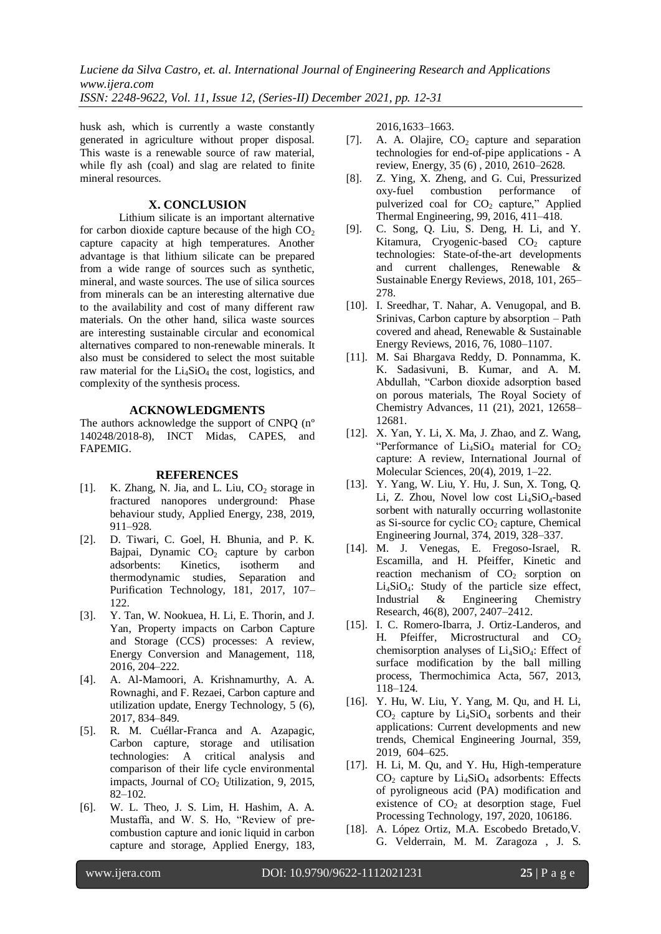husk ash, which is currently a waste constantly generated in agriculture without proper disposal. This waste is a renewable source of raw material, while fly ash (coal) and slag are related to finite mineral resources.

#### **X. CONCLUSION**

Lithium silicate is an important alternative for carbon dioxide capture because of the high  $CO<sub>2</sub>$ capture capacity at high temperatures. Another advantage is that lithium silicate can be prepared from a wide range of sources such as synthetic, mineral, and waste sources. The use of silica sources from minerals can be an interesting alternative due to the availability and cost of many different raw materials. On the other hand, silica waste sources are interesting sustainable circular and economical alternatives compared to non-renewable minerals. It also must be considered to select the most suitable raw material for the  $Li<sub>4</sub>SiO<sub>4</sub>$  the cost, logistics, and complexity of the synthesis process.

#### **ACKNOWLEDGMENTS**

The authors acknowledge the support of CNPQ (nº 140248/2018-8), INCT Midas, CAPES, and FAPEMIG.

#### **REFERENCES**

- [1]. K. Zhang, N. Jia, and L. Liu,  $CO_2$  storage in fractured nanopores underground: Phase behaviour study, Applied Energy, 238, 2019, 911–928.
- [2]. D. Tiwari, C. Goel, H. Bhunia, and P. K. Bajpai, Dynamic  $CO<sub>2</sub>$  capture by carbon adsorbents: Kinetics, isotherm and thermodynamic studies, Separation and Purification Technology, 181, 2017, 107– 122.
- [3]. Y. Tan, W. Nookuea, H. Li, E. Thorin, and J. Yan, Property impacts on Carbon Capture and Storage (CCS) processes: A review, Energy Conversion and Management, 118, 2016, 204–222.
- [4]. A. Al-Mamoori, A. Krishnamurthy, A. A. Rownaghi, and F. Rezaei, Carbon capture and utilization update, Energy Technology, 5 (6), 2017, 834–849.
- [5]. R. M. Cuéllar-Franca and A. Azapagic, Carbon capture, storage and utilisation technologies: A critical analysis and comparison of their life cycle environmental impacts, Journal of  $CO<sub>2</sub>$  Utilization, 9, 2015, 82–102.
- [6]. W. L. Theo, J. S. Lim, H. Hashim, A. A. Mustaffa, and W. S. Ho, "Review of precombustion capture and ionic liquid in carbon capture and storage, Applied Energy, 183,

2016,1633–1663.

- [7]. A. A. Olajire,  $CO<sub>2</sub>$  capture and separation technologies for end-of-pipe applications - A review, Energy, 35 (6) , 2010, 2610–2628.
- [8]. Z. Ying, X. Zheng, and G. Cui, Pressurized oxy-fuel combustion performance of pulverized coal for  $CO<sub>2</sub>$  capture," Applied Thermal Engineering, 99, 2016, 411–418.
- [9]. C. Song, Q. Liu, S. Deng, H. Li, and Y. Kitamura, Cryogenic-based  $CO<sub>2</sub>$  capture technologies: State-of-the-art developments and current challenges, Renewable & Sustainable Energy Reviews, 2018, 101, 265– 278.
- [10]. I. Sreedhar, T. Nahar, A. Venugopal, and B. Srinivas, Carbon capture by absorption – Path covered and ahead, Renewable & Sustainable Energy Reviews, 2016, 76, 1080–1107.
- [11]. M. Sai Bhargava Reddy, D. Ponnamma, K. K. Sadasivuni, B. Kumar, and A. M. Abdullah, "Carbon dioxide adsorption based on porous materials, The Royal Society of Chemistry Advances, 11 (21), 2021, 12658– 12681.
- [12]. X. Yan, Y. Li, X. Ma, J. Zhao, and Z. Wang, "Performance of  $Li<sub>4</sub>SiO<sub>4</sub>$  material for  $CO<sub>2</sub>$ capture: A review, International Journal of Molecular Sciences, 20(4), 2019, 1–22.
- [13]. Y. Yang, W. Liu, Y. Hu, J. Sun, X. Tong, Q. Li, Z. Zhou, Novel low cost Li4SiO4-based sorbent with naturally occurring wollastonite as Si-source for cyclic  $CO<sub>2</sub>$  capture, Chemical Engineering Journal, 374, 2019, 328–337.
- [14]. M. J. Venegas, E. Fregoso-Israel, R. Escamilla, and H. Pfeiffer, Kinetic and reaction mechanism of  $CO<sub>2</sub>$  sorption on  $Li_4SiO_4$ : Study of the particle size effect,<br>Industrial & Engineering Chemistry Engineering Chemistry Research, 46(8), 2007, 2407–2412.
- [15]. I. C. Romero-Ibarra, J. Ortiz-Landeros, and H. Pfeiffer, Microstructural and  $CO<sub>2</sub>$ chemisorption analyses of  $Li<sub>4</sub>SiO<sub>4</sub>$ : Effect of surface modification by the ball milling process, Thermochimica Acta, 567, 2013, 118–124.
- [16]. Y. Hu, W. Liu, Y. Yang, M. Qu, and H. Li,  $CO<sub>2</sub>$  capture by  $Li<sub>4</sub>SiO<sub>4</sub>$  sorbents and their applications: Current developments and new trends, Chemical Engineering Journal, 359, 2019, 604–625.
- [17]. H. Li, M. Qu, and Y. Hu, High-temperature  $CO<sub>2</sub>$  capture by  $Li<sub>4</sub>SiO<sub>4</sub>$  adsorbents: Effects of pyroligneous acid (PA) modification and existence of  $CO<sub>2</sub>$  at desorption stage, Fuel Processing Technology, 197, 2020, 106186.
- [18]. A. López Ortiz, M.A. Escobedo Bretado,V. G. Velderrain, M. M. Zaragoza , J. S.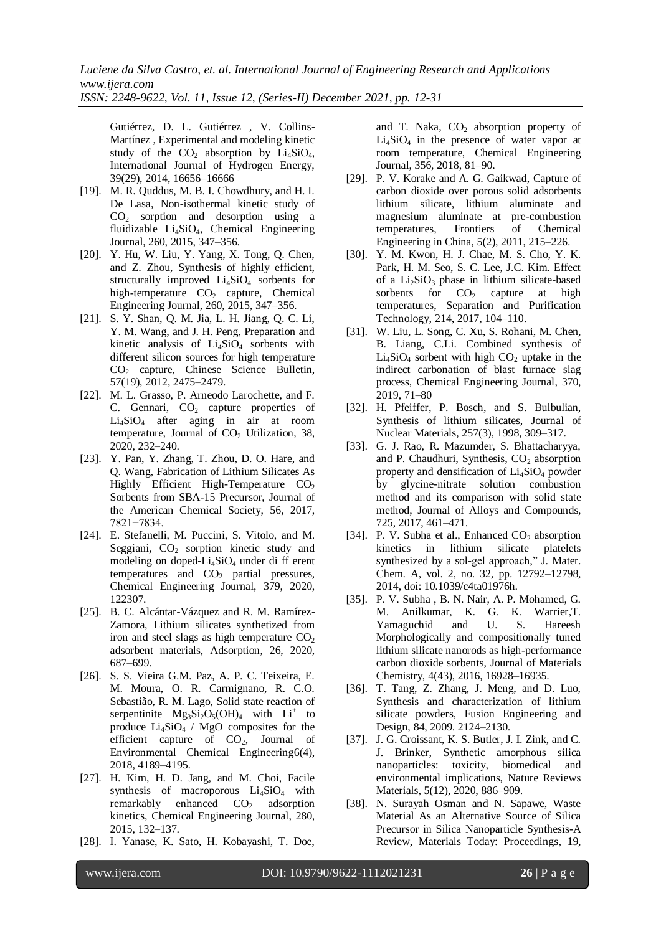Gutiérrez, D. L. Gutiérrez , V. Collins-Martínez , Experimental and modeling kinetic study of the  $CO<sub>2</sub>$  absorption by  $Li<sub>4</sub>SiO<sub>4</sub>$ , International Journal of Hydrogen Energy, 39(29), 2014, 16656–16666

- [19]. M. R. Quddus, M. B. I. Chowdhury, and H. I. De Lasa, Non-isothermal kinetic study of  $CO<sub>2</sub>$  sorption and desorption using a fluidizable Li4SiO4, Chemical Engineering Journal, 260, 2015, 347–356.
- [20]. Y. Hu, W. Liu, Y. Yang, X. Tong, Q. Chen, and Z. Zhou, Synthesis of highly efficient, structurally improved  $Li<sub>4</sub>SiO<sub>4</sub>$  sorbents for high-temperature CO<sub>2</sub> capture, Chemical Engineering Journal, 260, 2015, 347–356.
- [21]. S. Y. Shan, Q. M. Jia, L. H. Jiang, Q. C. Li, Y. M. Wang, and J. H. Peng, Preparation and kinetic analysis of  $Li<sub>4</sub>SiO<sub>4</sub>$  sorbents with different silicon sources for high temperature CO<sup>2</sup> capture, Chinese Science Bulletin, 57(19), 2012, 2475–2479.
- [22]. M. L. Grasso, P. Arneodo Larochette, and F. C. Gennari,  $CO<sub>2</sub>$  capture properties of  $Li<sub>4</sub>SiO<sub>4</sub>$  after aging in air at room temperature, Journal of  $CO<sub>2</sub>$  Utilization, 38, 2020, 232–240.
- [23]. Y. Pan, Y. Zhang, T. Zhou, D. O. Hare, and Q. Wang, Fabrication of Lithium Silicates As Highly Efficient High-Temperature  $CO<sub>2</sub>$ Sorbents from SBA-15 Precursor, Journal of the American Chemical Society, 56, 2017, 7821−7834.
- [24]. E. Stefanelli, M. Puccini, S. Vitolo, and M. Seggiani,  $CO<sub>2</sub>$  sorption kinetic study and modeling on doped- $Li<sub>4</sub>SiO<sub>4</sub>$  under di ff erent temperatures and CO<sub>2</sub> partial pressures, Chemical Engineering Journal, 379, 2020, 122307.
- [25]. B. C. Alcántar-Vázquez and R. M. Ramírez-Zamora, Lithium silicates synthetized from iron and steel slags as high temperature  $CO<sub>2</sub>$ adsorbent materials, Adsorption, 26, 2020, 687–699.
- [26]. S. S. Vieira G.M. Paz, A. P. C. Teixeira, E. M. Moura, O. R. Carmignano, R. C.O. Sebastião, R. M. Lago, Solid state reaction of serpentinite  $Mg_3Si_2O_5(OH)_4$  with  $Li^+$  to produce  $Li_4SiO_4$  / MgO composites for the efficient capture of  $CO<sub>2</sub>$ , Journal of Environmental Chemical Engineering6(4), 2018, 4189–4195.
- [27]. H. Kim, H. D. Jang, and M. Choi, Facile synthesis of macroporous Li<sub>4</sub>SiO<sub>4</sub> with remarkably enhanced  $CO<sub>2</sub>$  adsorption kinetics, Chemical Engineering Journal, 280, 2015, 132–137.
- [28]. I. Yanase, K. Sato, H. Kobayashi, T. Doe,

and T. Naka,  $CO<sub>2</sub>$  absorption property of  $Li<sub>4</sub>SiO<sub>4</sub>$  in the presence of water vapor at room temperature, Chemical Engineering Journal, 356, 2018, 81–90.

- [29]. P. V. Korake and A. G. Gaikwad, Capture of carbon dioxide over porous solid adsorbents lithium silicate, lithium aluminate and magnesium aluminate at pre-combustion temperatures, Frontiers of Chemical Engineering in China, 5(2), 2011, 215–226.
- [30]. Y. M. Kwon, H. J. Chae, M. S. Cho, Y. K. Park, H. M. Seo, S. C. Lee, J.C. Kim. Effect of a  $Li<sub>2</sub>SiO<sub>3</sub>$  phase in lithium silicate-based sorbents for  $CO<sub>2</sub>$  capture at high temperatures, Separation and Purification Technology, 214, 2017, 104–110.
- [31]. W. Liu, L. Song, C. Xu, S. Rohani, M. Chen, B. Liang, C.Li. Combined synthesis of  $Li<sub>4</sub>SiO<sub>4</sub>$  sorbent with high  $CO<sub>2</sub>$  uptake in the indirect carbonation of blast furnace slag process, Chemical Engineering Journal, 370, 2019, 71–80
- [32]. H. Pfeiffer, P. Bosch, and S. Bulbulian, Synthesis of lithium silicates, Journal of Nuclear Materials, 257(3), 1998, 309–317.
- [33]. G. J. Rao, R. Mazumder, S. Bhattacharyya, and P. Chaudhuri, Synthesis,  $CO<sub>2</sub>$  absorption property and densification of Li<sub>4</sub>SiO<sub>4</sub> powder by glycine-nitrate solution combustion method and its comparison with solid state method, Journal of Alloys and Compounds, 725, 2017, 461–471.
- [34]. P. V. Subha et al., Enhanced  $CO<sub>2</sub>$  absorption kinetics in lithium silicate platelets synthesized by a sol-gel approach," J. Mater. Chem. A, vol. 2, no. 32, pp. 12792–12798, 2014, doi: 10.1039/c4ta01976h.
- [35]. P. V. Subha , B. N. Nair, A. P. Mohamed, G. M. Anilkumar, K. G. K. Warrier,T. Yamaguchid and U. S. Hareesh Morphologically and compositionally tuned lithium silicate nanorods as high-performance carbon dioxide sorbents, Journal of Materials Chemistry, 4(43), 2016, 16928–16935.
- [36]. T. Tang, Z. Zhang, J. Meng, and D. Luo, Synthesis and characterization of lithium silicate powders, Fusion Engineering and Design, 84, 2009. 2124–2130.
- [37]. J. G. Croissant, K. S. Butler, J. I. Zink, and C. J. Brinker, Synthetic amorphous silica nanoparticles: toxicity, biomedical and environmental implications, Nature Reviews Materials, 5(12), 2020, 886–909.
- [38]. N. Surayah Osman and N. Sapawe, Waste Material As an Alternative Source of Silica Precursor in Silica Nanoparticle Synthesis-A Review, Materials Today: Proceedings, 19,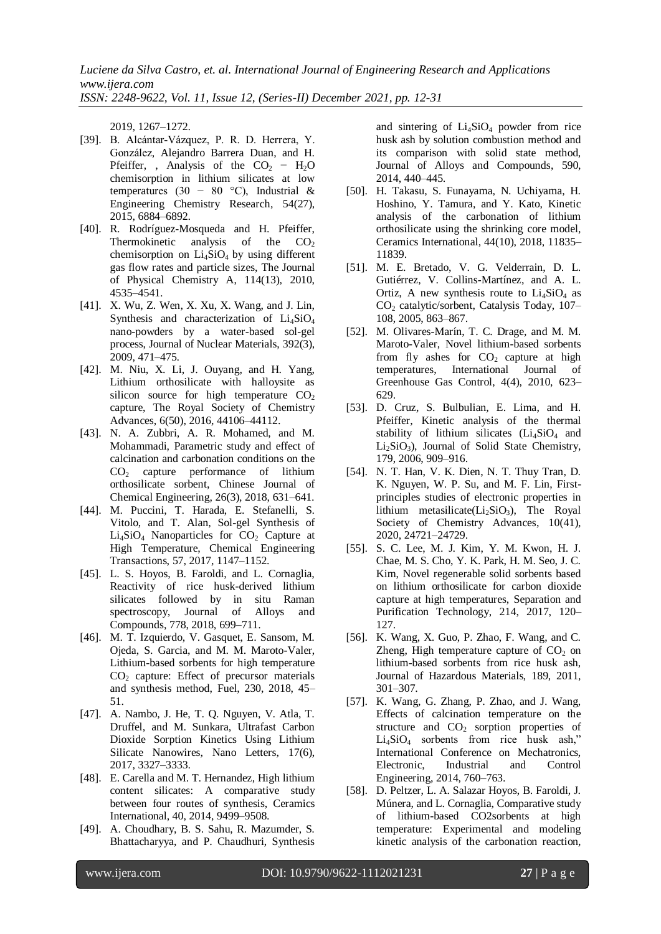2019, 1267–1272.

- [39]. B. Alcántar-Vázquez, P. R. D. Herrera, Y. González, Alejandro Barrera Duan, and H. Pfeiffer, , Analysis of the  $CO<sub>2</sub> - H<sub>2</sub>O$ chemisorption in lithium silicates at low temperatures (30 − 80 °C), Industrial & Engineering Chemistry Research, 54(27), 2015, 6884–6892.
- [40]. R. Rodríguez-Mosqueda and H. Pfeiffer, Thermokinetic analysis of the  $CO<sub>2</sub>$ chemisorption on  $Li<sub>4</sub>SiO<sub>4</sub>$  by using different gas flow rates and particle sizes, The Journal of Physical Chemistry A, 114(13), 2010, 4535–4541.
- [41]. X. Wu, Z. Wen, X. Xu, X. Wang, and J. Lin, Synthesis and characterization of  $Li<sub>4</sub>SiO<sub>4</sub>$ nano-powders by a water-based sol-gel process, Journal of Nuclear Materials, 392(3), 2009, 471–475.
- [42]. M. Niu, X. Li, J. Ouyang, and H. Yang, Lithium orthosilicate with halloysite as silicon source for high temperature  $CO<sub>2</sub>$ capture, The Royal Society of Chemistry Advances, 6(50), 2016, 44106–44112.
- [43]. N. A. Zubbri, A. R. Mohamed, and M. Mohammadi, Parametric study and effect of calcination and carbonation conditions on the CO<sup>2</sup> capture performance of lithium orthosilicate sorbent, Chinese Journal of Chemical Engineering, 26(3), 2018, 631–641.
- [44]. M. Puccini, T. Harada, E. Stefanelli, S. Vitolo, and T. Alan, Sol-gel Synthesis of  $Li<sub>4</sub>SiO<sub>4</sub>$  Nanoparticles for  $CO<sub>2</sub>$  Capture at High Temperature, Chemical Engineering Transactions, 57, 2017, 1147–1152.
- [45]. L. S. Hoyos, B. Faroldi, and L. Cornaglia, Reactivity of rice husk-derived lithium silicates followed by in situ Raman spectroscopy, Journal of Alloys and Compounds, 778, 2018, 699–711.
- [46]. M. T. Izquierdo, V. Gasquet, E. Sansom, M. Ojeda, S. Garcia, and M. M. Maroto-Valer, Lithium-based sorbents for high temperature  $CO<sub>2</sub>$  capture: Effect of precursor materials and synthesis method, Fuel, 230, 2018, 45– 51.
- [47]. A. Nambo, J. He, T. Q. Nguyen, V. Atla, T. Druffel, and M. Sunkara, Ultrafast Carbon Dioxide Sorption Kinetics Using Lithium Silicate Nanowires, Nano Letters, 17(6), 2017, 3327–3333.
- [48]. E. Carella and M. T. Hernandez, High lithium content silicates: A comparative study between four routes of synthesis, Ceramics International, 40, 2014, 9499–9508.
- [49]. A. Choudhary, B. S. Sahu, R. Mazumder, S. Bhattacharyya, and P. Chaudhuri, Synthesis

and sintering of  $Li<sub>4</sub>SiO<sub>4</sub>$  powder from rice husk ash by solution combustion method and its comparison with solid state method, Journal of Alloys and Compounds, 590, 2014, 440–445.

- [50]. H. Takasu, S. Funayama, N. Uchiyama, H. Hoshino, Y. Tamura, and Y. Kato, Kinetic analysis of the carbonation of lithium orthosilicate using the shrinking core model, Ceramics International, 44(10), 2018, 11835– 11839.
- [51]. M. E. Bretado, V. G. Velderrain, D. L. Gutiérrez, V. Collins-Martínez, and A. L. Ortiz, A new synthesis route to  $Li<sub>4</sub>SiO<sub>4</sub>$  as CO<sub>2</sub> catalytic/sorbent, Catalysis Today, 107-108, 2005, 863–867.
- [52]. M. Olivares-Marín, T. C. Drage, and M. M. Maroto-Valer, Novel lithium-based sorbents from fly ashes for  $CO<sub>2</sub>$  capture at high temperatures, International Journal of Greenhouse Gas Control, 4(4), 2010, 623– 629.
- [53]. D. Cruz, S. Bulbulian, E. Lima, and H. Pfeiffer, Kinetic analysis of the thermal stability of lithium silicates  $(Li<sub>4</sub>Si<sub>0</sub>$  and Li<sub>2</sub>SiO<sub>3</sub>), Journal of Solid State Chemistry, 179, 2006, 909–916.
- [54]. N. T. Han, V. K. Dien, N. T. Thuy Tran, D. K. Nguyen, W. P. Su, and M. F. Lin, Firstprinciples studies of electronic properties in lithium metasilicate( $Li<sub>2</sub>SiO<sub>3</sub>$ ), The Royal Society of Chemistry Advances, 10(41), 2020, 24721–24729.
- [55]. S. C. Lee, M. J. Kim, Y. M. Kwon, H. J. Chae, M. S. Cho, Y. K. Park, H. M. Seo, J. C. Kim, Novel regenerable solid sorbents based on lithium orthosilicate for carbon dioxide capture at high temperatures, Separation and Purification Technology, 214, 2017, 120– 127.
- [56]. K. Wang, X. Guo, P. Zhao, F. Wang, and C. Zheng, High temperature capture of  $CO<sub>2</sub>$  on lithium-based sorbents from rice husk ash, Journal of Hazardous Materials, 189, 2011, 301–307.
- [57]. K. Wang, G. Zhang, P. Zhao, and J. Wang, Effects of calcination temperature on the structure and  $CO<sub>2</sub>$  sorption properties of  $Li<sub>4</sub>SiO<sub>4</sub>$  sorbents from rice husk ash," International Conference on Mechatronics, Electronic, Industrial and Control Engineering, 2014, 760–763.
- [58]. D. Peltzer, L. A. Salazar Hoyos, B. Faroldi, J. Múnera, and L. Cornaglia, Comparative study of lithium-based CO2sorbents at high temperature: Experimental and modeling kinetic analysis of the carbonation reaction,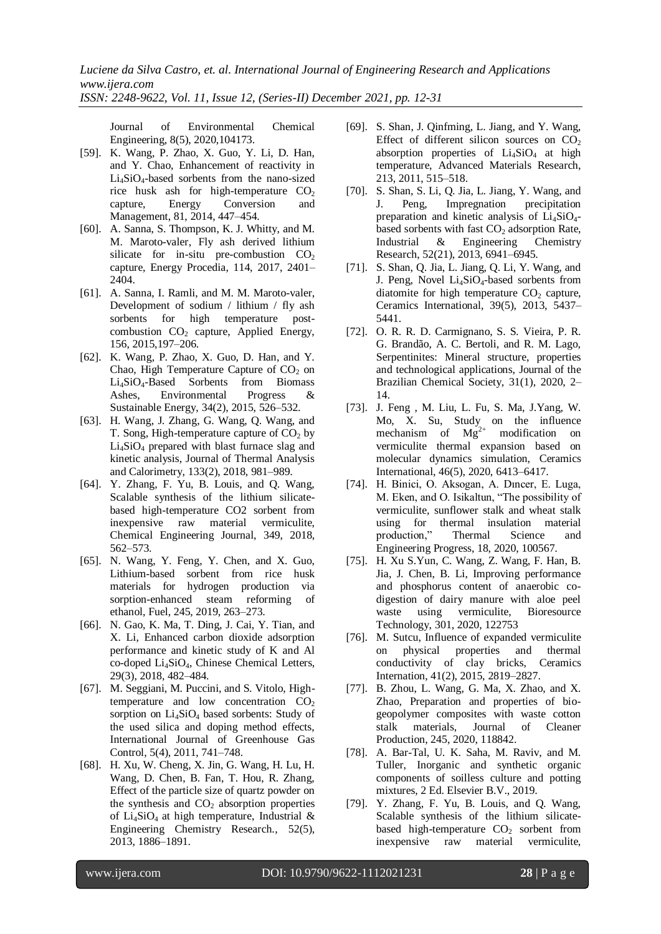*ISSN: 2248-9622, Vol. 11, Issue 12, (Series-II) December 2021, pp. 12-31*

Journal of Environmental Chemical Engineering, 8(5), 2020,104173.

- [59]. K. Wang, P. Zhao, X. Guo, Y. Li, D. Han, and Y. Chao, Enhancement of reactivity in  $Li<sub>4</sub>SiO<sub>4</sub>$ -based sorbents from the nano-sized rice husk ash for high-temperature  $CO<sub>2</sub>$ capture, Energy Conversion and Management, 81, 2014, 447–454.
- [60]. A. Sanna, S. Thompson, K. J. Whitty, and M. M. Maroto-valer, Fly ash derived lithium silicate for in-situ pre-combustion  $CO<sub>2</sub>$ capture, Energy Procedia, 114, 2017, 2401– 2404.
- [61]. A. Sanna, I. Ramli, and M. M. Maroto-valer, Development of sodium / lithium / fly ash sorbents for high temperature postcombustion  $CO<sub>2</sub>$  capture, Applied Energy, 156, 2015,197–206.
- [62]. K. Wang, P. Zhao, X. Guo, D. Han, and Y. Chao, High Temperature Capture of  $CO<sub>2</sub>$  on Li4SiO4-Based Sorbents from Biomass Ashes, Environmental Progress & Sustainable Energy, 34(2), 2015, 526–532.
- [63]. H. Wang, J. Zhang, G. Wang, Q. Wang, and T. Song, High-temperature capture of  $CO<sub>2</sub>$  by Li4SiO<sup>4</sup> prepared with blast furnace slag and kinetic analysis, Journal of Thermal Analysis and Calorimetry, 133(2), 2018, 981–989.
- [64]. Y. Zhang, F. Yu, B. Louis, and Q. Wang, Scalable synthesis of the lithium silicatebased high-temperature CO2 sorbent from inexpensive raw material vermiculite, Chemical Engineering Journal, 349, 2018, 562–573.
- [65]. N. Wang, Y. Feng, Y. Chen, and X. Guo, Lithium-based sorbent from rice husk materials for hydrogen production via sorption-enhanced steam reforming of ethanol, Fuel, 245, 2019, 263–273.
- [66]. N. Gao, K. Ma, T. Ding, J. Cai, Y. Tian, and X. Li, Enhanced carbon dioxide adsorption performance and kinetic study of K and Al co-doped Li4SiO4, Chinese Chemical Letters, 29(3), 2018, 482–484.
- [67]. M. Seggiani, M. Puccini, and S. Vitolo, Hightemperature and low concentration  $CO<sub>2</sub>$ sorption on  $Li<sub>4</sub>SiO<sub>4</sub>$  based sorbents: Study of the used silica and doping method effects, International Journal of Greenhouse Gas Control, 5(4), 2011, 741–748.
- [68]. H. Xu, W. Cheng, X. Jin, G. Wang, H. Lu, H. Wang, D. Chen, B. Fan, T. Hou, R. Zhang, Effect of the particle size of quartz powder on the synthesis and  $CO<sub>2</sub>$  absorption properties of  $Li<sub>4</sub>SiO<sub>4</sub>$  at high temperature, Industrial & Engineering Chemistry Research., 52(5), 2013, 1886–1891.
- [69]. S. Shan, J. Qinfming, L. Jiang, and Y. Wang, Effect of different silicon sources on  $CO<sub>2</sub>$ absorption properties of  $Li<sub>4</sub>SiO<sub>4</sub>$  at high temperature, Advanced Materials Research, 213, 2011, 515–518.
- [70]. S. Shan, S. Li, Q. Jia, L. Jiang, Y. Wang, and J. Peng, Impregnation precipitation preparation and kinetic analysis of  $Li<sub>4</sub>SiO<sub>4</sub>$ based sorbents with fast  $CO<sub>2</sub>$  adsorption Rate, Industrial & Engineering Chemistry Research, 52(21), 2013, 6941–6945.
- [71]. S. Shan, Q. Jia, L. Jiang, Q. Li, Y. Wang, and J. Peng, Novel  $Li<sub>4</sub>SiO<sub>4</sub>$ -based sorbents from diatomite for high temperature  $CO<sub>2</sub>$  capture, Ceramics International, 39(5), 2013, 5437– 5441.
- [72]. O. R. R. D. Carmignano, S. S. Vieira, P. R. G. Brandão, A. C. Bertoli, and R. M. Lago, Serpentinites: Mineral structure, properties and technological applications, Journal of the Brazilian Chemical Society, 31(1), 2020, 2– 14.
- [73]. J. Feng , M. Liu, L. Fu, S. Ma, J.Yang, W. Mo, X. Su, Study on the influence mechanism of  $Mg^{2+}$  modification on vermiculite thermal expansion based on molecular dynamics simulation, Ceramics International, 46(5), 2020, 6413–6417.
- [74]. H. Binici, O. Aksogan, A. Dincer, E. Luga, M. Eken, and O. Isikaltun, "The possibility of vermiculite, sunflower stalk and wheat stalk using for thermal insulation material production," Thermal Science and Engineering Progress, 18, 2020, 100567.
- [75]. H. Xu S.Yun, C. Wang, Z. Wang, F. Han, B. Jia, J. Chen, B. Li, Improving performance and phosphorus content of anaerobic codigestion of dairy manure with aloe peel waste using vermiculite, Bioresource Technology, 301, 2020, 122753
- [76]. M. Sutcu, Influence of expanded vermiculite on physical properties and thermal conductivity of clay bricks, Ceramics Internation, 41(2), 2015, 2819–2827.
- [77]. B. Zhou, L. Wang, G. Ma, X. Zhao, and X. Zhao, Preparation and properties of biogeopolymer composites with waste cotton stalk materials, Journal of Cleaner Production, 245, 2020, 118842.
- [78]. A. Bar-Tal, U. K. Saha, M. Raviv, and M. Tuller, Inorganic and synthetic organic components of soilless culture and potting mixtures, 2 Ed. Elsevier B.V., 2019.
- [79]. Y. Zhang, F. Yu, B. Louis, and Q. Wang, Scalable synthesis of the lithium silicatebased high-temperature  $CO<sub>2</sub>$  sorbent from<br>inexpensive raw material vermiculite. inexpensive raw material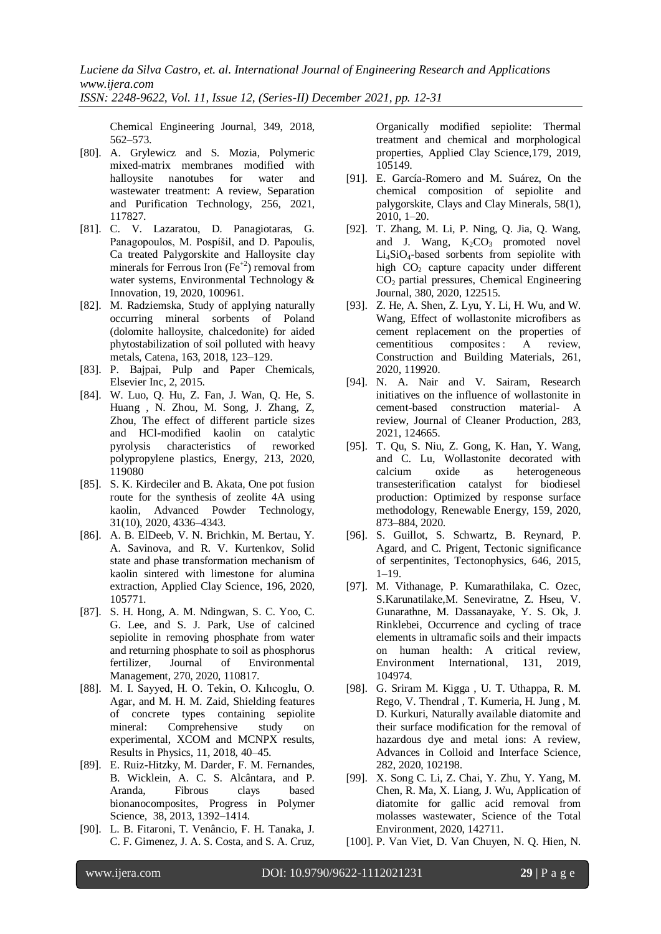Chemical Engineering Journal, 349, 2018, 562–573.

- [80]. A. Grylewicz and S. Mozia, Polymeric mixed-matrix membranes modified with halloysite nanotubes for water and wastewater treatment: A review, Separation and Purification Technology, 256, 2021, 117827.
- [81]. C. V. Lazaratou, D. Panagiotaras, G. Panagopoulos, M. Pospíšil, and D. Papoulis, Ca treated Palygorskite and Halloysite clay minerals for Ferrous Iron  $(Fe^{+2})$  removal from water systems, Environmental Technology & Innovation, 19, 2020, 100961.
- [82]. M. Radziemska, Study of applying naturally occurring mineral sorbents of Poland (dolomite halloysite, chalcedonite) for aided phytostabilization of soil polluted with heavy metals, Catena, 163, 2018, 123–129.
- [83]. P. Bajpai, Pulp and Paper Chemicals, Elsevier Inc, 2, 2015.
- [84]. W. Luo, Q. Hu, Z. Fan, J. Wan, Q. He, S. Huang , N. Zhou, M. Song, J. Zhang, Z, Zhou, The effect of different particle sizes and HCl-modified kaolin on catalytic pyrolysis characteristics of reworked polypropylene plastics, Energy, 213, 2020, 119080
- [85]. S. K. Kirdeciler and B. Akata, One pot fusion route for the synthesis of zeolite 4A using kaolin, Advanced Powder Technology, 31(10), 2020, 4336–4343.
- [86]. A. B. ElDeeb, V. N. Brichkin, M. Bertau, Y. A. Savinova, and R. V. Kurtenkov, Solid state and phase transformation mechanism of kaolin sintered with limestone for alumina extraction, Applied Clay Science, 196, 2020, 105771.
- [87]. S. H. Hong, A. M. Ndingwan, S. C. Yoo, C. G. Lee, and S. J. Park, Use of calcined sepiolite in removing phosphate from water and returning phosphate to soil as phosphorus fertilizer, Journal of Environmental Management, 270, 2020, 110817.
- [88]. M. I. Sayyed, H. O. Tekin, O. Kılıcoglu, O. Agar, and M. H. M. Zaid, Shielding features of concrete types containing sepiolite mineral: Comprehensive study on experimental, XCOM and MCNPX results, Results in Physics, 11, 2018, 40–45.
- [89]. E. Ruiz-Hitzky, M. Darder, F. M. Fernandes, B. Wicklein, A. C. S. Alcântara, and P. Aranda, Fibrous clays based bionanocomposites, Progress in Polymer Science, 38, 2013, 1392–1414.
- [90]. L. B. Fitaroni, T. Venâncio, F. H. Tanaka, J. C. F. Gimenez, J. A. S. Costa, and S. A. Cruz,

Organically modified sepiolite: Thermal treatment and chemical and morphological properties, Applied Clay Science,179, 2019, 105149.

- [91]. E. García-Romero and M. Suárez, On the chemical composition of sepiolite and palygorskite, Clays and Clay Minerals, 58(1), 2010, 1–20.
- [92]. T. Zhang, M. Li, P. Ning, Q. Jia, Q. Wang, and J. Wang,  $K_2CO_3$  promoted novel Li4SiO4-based sorbents from sepiolite with high  $CO<sub>2</sub>$  capture capacity under different  $CO<sub>2</sub>$  partial pressures, Chemical Engineering Journal, 380, 2020, 122515.
- [93]. Z. He, A. Shen, Z. Lyu, Y. Li, H. Wu, and W. Wang, Effect of wollastonite microfibers as cement replacement on the properties of<br>cementitious composites: A review. cementitious composites : A review, Construction and Building Materials, 261, 2020, 119920.
- [94]. N. A. Nair and V. Sairam, Research initiatives on the influence of wollastonite in cement-based construction material- A review, Journal of Cleaner Production, 283, 2021, 124665.
- [95]. T. Qu, S. Niu, Z. Gong, K. Han, Y. Wang, and C. Lu, Wollastonite decorated with calcium oxide as heterogeneous transesterification catalyst for biodiesel production: Optimized by response surface methodology, Renewable Energy, 159, 2020, 873–884, 2020.
- [96]. S. Guillot, S. Schwartz, B. Reynard, P. Agard, and C. Prigent, Tectonic significance of serpentinites, Tectonophysics, 646, 2015, 1–19.
- [97]. M. Vithanage, P. Kumarathilaka, C. Ozec, S.Karunatilake,M. Seneviratne, Z. Hseu, V. Gunarathne, M. Dassanayake, Y. S. Ok, J. Rinklebei, Occurrence and cycling of trace elements in ultramafic soils and their impacts on human health: A critical review, Environment International, 131, 2019, 104974.
- [98]. G. Sriram M. Kigga , U. T. Uthappa, R. M. Rego, V. Thendral , T. Kumeria, H. Jung , M. D. Kurkuri, Naturally available diatomite and their surface modification for the removal of hazardous dye and metal ions: A review, Advances in Colloid and Interface Science, 282, 2020, 102198.
- [99]. X. Song C. Li, Z. Chai, Y. Zhu, Y. Yang, M. Chen, R. Ma, X. Liang, J. Wu, Application of diatomite for gallic acid removal from molasses wastewater, Science of the Total Environment, 2020, 142711.
- [100]. P. Van Viet, D. Van Chuyen, N. Q. Hien, N.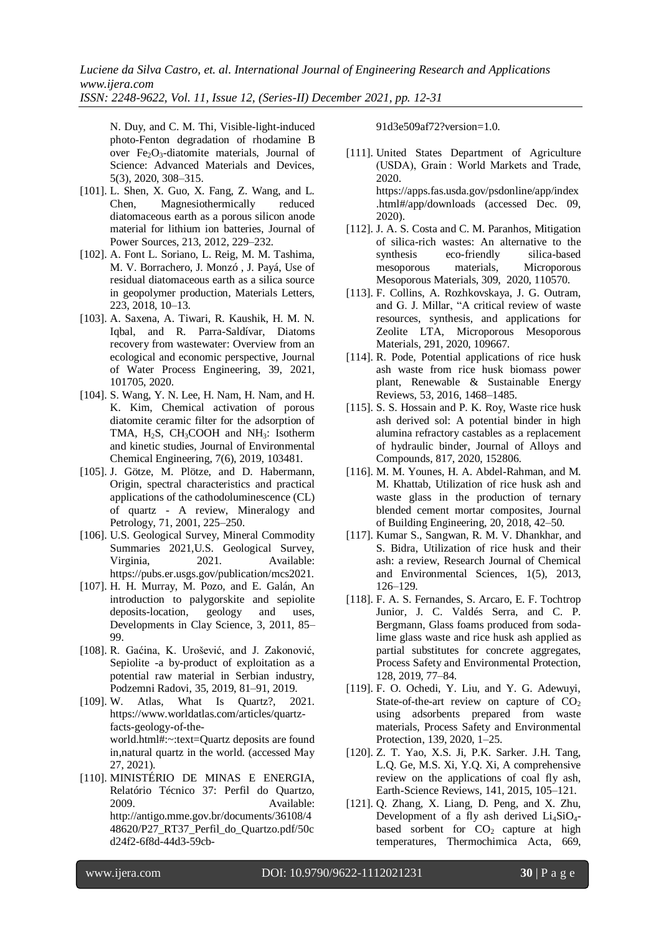*ISSN: 2248-9622, Vol. 11, Issue 12, (Series-II) December 2021, pp. 12-31*

N. Duy, and C. M. Thi, Visible-light-induced photo-Fenton degradation of rhodamine B over  $Fe<sub>2</sub>O<sub>3</sub>$ -diatomite materials, Journal of Science: Advanced Materials and Devices, 5(3), 2020, 308–315.

- [101]. L. Shen, X. Guo, X. Fang, Z. Wang, and L. Chen, Magnesiothermically reduced diatomaceous earth as a porous silicon anode material for lithium ion batteries, Journal of Power Sources, 213, 2012, 229–232.
- [102]. A. Font L. Soriano, L. Reig, M. M. Tashima, M. V. Borrachero, J. Monzó , J. Payá, Use of residual diatomaceous earth as a silica source in geopolymer production, Materials Letters, 223, 2018, 10–13.
- [103]. A. Saxena, A. Tiwari, R. Kaushik, H. M. N. Iqbal, and R. Parra-Saldívar, Diatoms recovery from wastewater: Overview from an ecological and economic perspective, Journal of Water Process Engineering, 39, 2021, 101705, 2020.
- [104]. S. Wang, Y. N. Lee, H. Nam, H. Nam, and H. K. Kim, Chemical activation of porous diatomite ceramic filter for the adsorption of TMA, H<sub>2</sub>S, CH<sub>3</sub>COOH and NH<sub>3</sub>: Isotherm and kinetic studies, Journal of Environmental Chemical Engineering, 7(6), 2019, 103481.
- [105]. J. Götze, M. Plötze, and D. Habermann, Origin, spectral characteristics and practical applications of the cathodoluminescence (CL) of quartz - A review, Mineralogy and Petrology, 71, 2001, 225–250.
- [106]. U.S. Geological Survey, Mineral Commodity Summaries 2021,U.S. Geological Survey, Virginia, 2021. Available: https://pubs.er.usgs.gov/publication/mcs2021.
- [107]. H. H. Murray, M. Pozo, and E. Galán, An introduction to palygorskite and sepiolite deposits-location, geology and uses, Developments in Clay Science, 3, 2011, 85– 99.
- [108]. R. Gaćina, K. Urošević, and J. Zakonović, Sepiolite -a by-product of exploitation as a potential raw material in Serbian industry, Podzemni Radovi, 35, 2019, 81–91, 2019.
- [109]. W. Atlas, What Is Quartz?, 2021. https://www.worldatlas.com/articles/quartzfacts-geology-of-theworld.html#:~:text=Quartz deposits are found in,natural quartz in the world. (accessed May 27, 2021).
- [110]. MINISTÉRIO DE MINAS E ENERGIA, Relatório Técnico 37: Perfil do Quartzo, 2009. Available: http://antigo.mme.gov.br/documents/36108/4 48620/P27\_RT37\_Perfil\_do\_Quartzo.pdf/50c d24f2-6f8d-44d3-59cb-

91d3e509af72?version=1.0.

- [111]. United States Department of Agriculture (USDA), Grain : World Markets and Trade, 2020. https://apps.fas.usda.gov/psdonline/app/index .html#/app/downloads (accessed Dec. 09, 2020).
- [112]. J. A. S. Costa and C. M. Paranhos, Mitigation of silica-rich wastes: An alternative to the synthesis eco-friendly silica-based mesoporous materials, Microporous Mesoporous Materials, 309, 2020, 110570.
- [113]. F. Collins, A. Rozhkovskaya, J. G. Outram, and G. J. Millar, "A critical review of waste resources, synthesis, and applications for Zeolite LTA, Microporous Mesoporous Materials, 291, 2020, 109667.
- [114]. R. Pode, Potential applications of rice husk ash waste from rice husk biomass power plant, Renewable & Sustainable Energy Reviews, 53, 2016, 1468–1485.
- [115]. S. S. Hossain and P. K. Roy, Waste rice husk ash derived sol: A potential binder in high alumina refractory castables as a replacement of hydraulic binder, Journal of Alloys and Compounds, 817, 2020, 152806.
- [116]. M. M. Younes, H. A. Abdel-Rahman, and M. M. Khattab, Utilization of rice husk ash and waste glass in the production of ternary blended cement mortar composites, Journal of Building Engineering, 20, 2018, 42–50.
- [117]. Kumar S., Sangwan, R. M. V. Dhankhar, and S. Bidra, Utilization of rice husk and their ash: a review, Research Journal of Chemical and Environmental Sciences, 1(5), 2013, 126–129.
- [118]. F. A. S. Fernandes, S. Arcaro, E. F. Tochtrop Junior, J. C. Valdés Serra, and C. P. Bergmann, Glass foams produced from sodalime glass waste and rice husk ash applied as partial substitutes for concrete aggregates, Process Safety and Environmental Protection, 128, 2019, 77–84.
- [119]. F. O. Ochedi, Y. Liu, and Y. G. Adewuyi, State-of-the-art review on capture of  $CO<sub>2</sub>$ using adsorbents prepared from waste materials, Process Safety and Environmental Protection, 139, 2020, 1–25.
- [120]. Z. T. Yao, X.S. Ji, P.K. Sarker. J.H. Tang, L.Q. Ge, M.S. Xi, Y.Q. Xi, A comprehensive review on the applications of coal fly ash, Earth-Science Reviews, 141, 2015, 105–121.
- [121]. Q. Zhang, X. Liang, D. Peng, and X. Zhu, Development of a fly ash derived  $Li<sub>4</sub>SiO<sub>4</sub>$ based sorbent for  $CO<sub>2</sub>$  capture at high temperatures, Thermochimica Acta, 669,